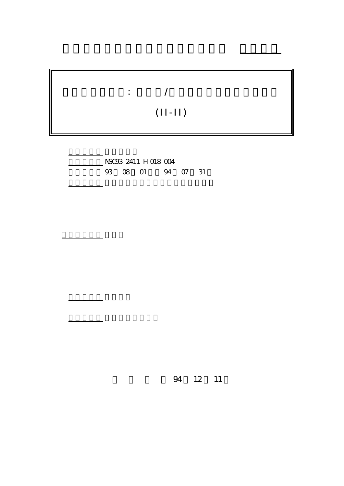

行政院國家科學委員會專題研究計畫 成果報告

計畫編號: NSC93-2411-H-018-004- 4 07 31

計畫主持人: 張月珍

報告類型: 完整報告

。<br>在前書 : 本計畫可公開查詢

執行單位: 國立彰化師範大學英語學系暨研究所

94 12 11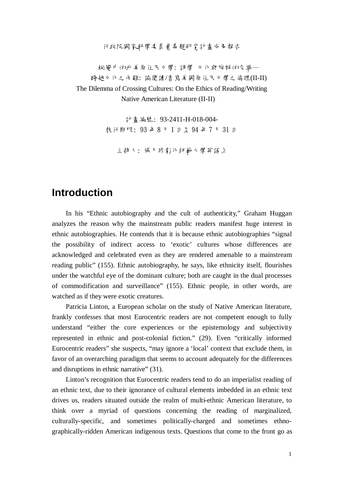行政院國家科學委員會專題研究計畫成果報告

蛇變中的北美原住民立學: 詩學 立化舆族群的交織─ 跨越文化之兩難: 論閱讀/書寫美國原住民文學之倫理(II-II) The Dilemma of Crossing Cultures: On the Ethics of Reading/Writing Native American Literature (II-II)

> 計畫編號: 93-2411-H-018-004- 執行期限: 93 年 8 月 1 日至 94 年 7 月 31 日

主持人: 張月珍彰化師範大學英語系

## **Introduction**

In his "Ethnic autobiography and the cult of authenticity," Graham Huggan analyzes the reason why the mainstream public readers manifest huge interest in ethnic autobiographies. He contends that it is because ethnic autobiographies "signal the possibility of indirect access to 'exotic' cultures whose differences are acknowledged and celebrated even as they are rendered amenable to a mainstream reading public" (155). Ethnic autobiography, he says, like ethnicity itself, flourishes under the watchful eye of the dominant culture; both are caught in the dual processes of commodification and surveillance" (155). Ethnic people, in other words, are watched as if they were exotic creatures.

Patricia Linton, a European scholar on the study of Native American literature, frankly confesses that most Eurocentric readers are not competent enough to fully understand "either the core experiences or the epistemology and subjectivity represented in ethnic and post-colonial fiction." (29). Even "critically informed Eurocentric readers" she suspects, "may ignore a 'local' context that exclude them, in favor of an overarching paradigm that seems to account adequately for the differences and disruptions in ethnic narrative" (31).

Linton's recognition that Eurocentric readers tend to do an imperialist reading of an ethnic text, due to their ignorance of cultural elements imbedded in an ethnic text drives us, readers situated outside the realm of multi-ethnic American literature, to think over a myriad of questions concerning the reading of marginalized, culturally-specific, and sometimes politically-charged and sometimes ethnographically-ridden American indigenous texts. Questions that come to the front go as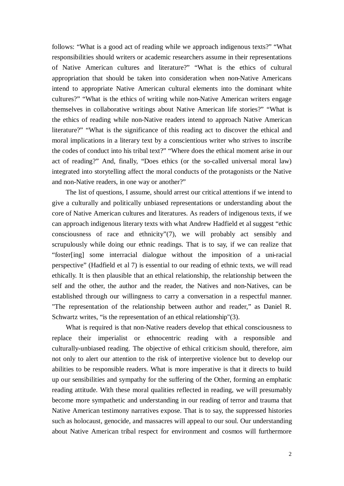follows: "What is a good act of reading while we approach indigenous texts?" "What responsibilities should writers or academic researchers assume in their representations of Native American cultures and literature?" "What is the ethics of cultural appropriation that should be taken into consideration when non-Native Americans intend to appropriate Native American cultural elements into the dominant white cultures?" "What is the ethics of writing while non-Native American writers engage themselves in collaborative writings about Native American life stories?" "What is the ethics of reading while non-Native readers intend to approach Native American literature?" "What is the significance of this reading act to discover the ethical and moral implications in a literary text by a conscientious writer who strives to inscribe the codes of conduct into his tribal text?" "Where does the ethical moment arise in our act of reading?" And, finally, "Does ethics (or the so-called universal moral law) integrated into storytelling affect the moral conducts of the protagonists or the Native and non-Native readers, in one way or another?"

The list of questions, I assume, should arrest our critical attentions if we intend to give a culturally and politically unbiased representations or understanding about the core of Native American cultures and literatures. As readers of indigenous texts, if we can approach indigenous literary texts with what Andrew Hadfield et al suggest "ethic consciousness of race and ethnicity"(7), we will probably act sensibly and scrupulously while doing our ethnic readings. That is to say, if we can realize that "foster[ing] some interracial dialogue without the imposition of a uni-racial perspective" (Hadfield et al 7) is essential to our reading of ethnic texts, we will read ethically. It is then plausible that an ethical relationship, the relationship between the self and the other, the author and the reader, the Natives and non-Natives, can be established through our willingness to carry a conversation in a respectful manner. "The representation of the relationship between author and reader," as Daniel R. Schwartz writes, "is the representation of an ethical relationship"(3).

What is required is that non-Native readers develop that ethical consciousness to replace their imperialist or ethnocentric reading with a responsible and culturally-unbiased reading. The objective of ethical criticism should, therefore, aim not only to alert our attention to the risk of interpretive violence but to develop our abilities to be responsible readers. What is more imperative is that it directs to build up our sensibilities and sympathy for the suffering of the Other, forming an emphatic reading attitude. With these moral qualities reflected in reading, we will presumably become more sympathetic and understanding in our reading of terror and trauma that Native American testimony narratives expose. That is to say, the suppressed histories such as holocaust, genocide, and massacres will appeal to our soul. Our understanding about Native American tribal respect for environment and cosmos will furthermore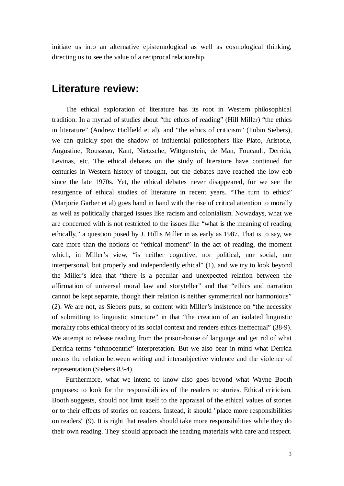initiate us into an alternative epistemological as well as cosmological thinking, directing us to see the value of a reciprocal relationship.

### **Literature review:**

The ethical exploration of literature has its root in Western philosophical tradition. In a myriad of studies about "the ethics of reading" (Hill Miller) "the ethics in literature" (Andrew Hadfield et al), and "the ethics of criticism" (Tobin Siebers), we can quickly spot the shadow of influential philosophers like Plato, Aristotle, Augustine, Rousseau, Kant, Nietzsche, Wittgenstein, de Man, Foucault, Derrida, Levinas, etc. The ethical debates on the study of literature have continued for centuries in Western history of thought, but the debates have reached the low ebb since the late 1970s. Yet, the ethical debates never disappeared, for we see the resurgence of ethical studies of literature in recent years. "The turn to ethics" (Marjorie Garber et al) goes hand in hand with the rise of critical attention to morally as well as politically charged issues like racism and colonialism. Nowadays, what we are concerned with is not restricted to the issues like "what is the meaning of reading ethically," a question posed by J. Hillis Miller in as early as 1987. That is to say, we care more than the notions of "ethical moment" in the act of reading, the moment which, in Miller's view, "is neither cognitive, nor political, nor social, nor interpersonal, but properly and independently ethical" (1), and we try to look beyond the Miller's idea that "there is a peculiar and unexpected relation between the affirmation of universal moral law and storyteller" and that "ethics and narration cannot be kept separate, though their relation is neither symmetrical nor harmonious" (2). We are not, as Siebers puts, so content with Miller's insistence on "the necessity of submitting to linguistic structure" in that "the creation of an isolated linguistic morality robs ethical theory of its social context and renders ethics ineffectual" (38-9). We attempt to release reading from the prison-house of language and get rid of what Derrida terms "ethnocentric" interpretation. But we also bear in mind what Derrida means the relation between writing and intersubjective violence and the violence of representation (Siebers 83-4).

Furthermore, what we intend to know also goes beyond what Wayne Booth proposes: to look for the responsibilities of the readers to stories. Ethical criticism, Booth suggests, should not limit itself to the appraisal of the ethical values of stories or to their effects of stories on readers. Instead, it should "place more responsibilities on readers" (9). It is right that readers should take more responsibilities while they do their own reading. They should approach the reading materials with care and respect.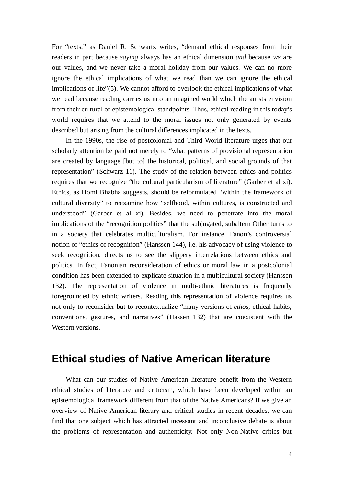For "texts," as Daniel R. Schwartz writes, "demand ethical responses from their readers in part because *saying* always has an ethical dimension *and* because *we* are our values, and we never take a moral holiday from our values. We can no more ignore the ethical implications of what we read than we can ignore the ethical implications of life"(5). We cannot afford to overlook the ethical implications of what we read because reading carries us into an imagined world which the artists envision from their cultural or epistemological standpoints. Thus, ethical reading in this today's world requires that we attend to the moral issues not only generated by events described but arising from the cultural differences implicated in the texts.

In the 1990s, the rise of postcolonial and Third World literature urges that our scholarly attention be paid not merely to "what patterns of provisional representation are created by language [but to] the historical, political, and social grounds of that representation" (Schwarz 11). The study of the relation between ethics and politics requires that we recognize "the cultural particularism of literature" (Garber et al xi). Ethics, as Homi Bhabha suggests, should be reformulated "within the framework of cultural diversity" to reexamine how "selfhood, within cultures, is constructed and understood" (Garber et al xi). Besides, we need to penetrate into the moral implications of the "recognition politics" that the subjugated, subaltern Other turns to in a society that celebrates multiculturalism. For instance, Fanon's controversial notion of "ethics of recognition" (Hanssen 144), i.e. his advocacy of using violence to seek recognition, directs us to see the slippery interrelations between ethics and politics. In fact, Fanonian reconsideration of ethics or moral law in a postcolonial condition has been extended to explicate situation in a multicultural society (Hanssen 132). The representation of violence in multi-ethnic literatures is frequently foregrounded by ethnic writers. Reading this representation of violence requires us not only to reconsider but to recontextualize "many versions of *ethos*, ethical habits, conventions, gestures, and narratives" (Hassen 132) that are coexistent with the Western versions.

### **Ethical studies of Native American literature**

What can our studies of Native American literature benefit from the Western ethical studies of literature and criticism, which have been developed within an epistemological framework different from that of the Native Americans? If we give an overview of Native American literary and critical studies in recent decades, we can find that one subject which has attracted incessant and inconclusive debate is about the problems of representation and authenticity. Not only Non-Native critics but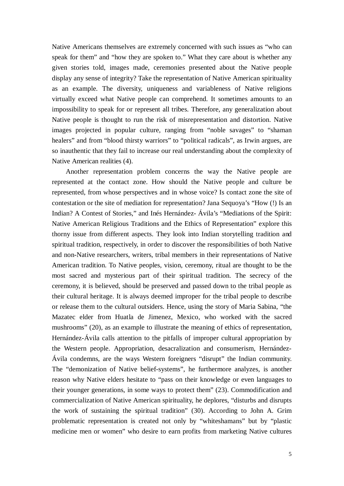Native Americans themselves are extremely concerned with such issues as "who can speak for them" and "how they are spoken to." What they care about is whether any given stories told, images made, ceremonies presented about the Native people display any sense of integrity? Take the representation of Native American spirituality as an example. The diversity, uniqueness and variableness of Native religions virtually exceed what Native people can comprehend. It sometimes amounts to an impossibility to speak for or represent all tribes. Therefore, any generalization about Native people is thought to run the risk of misrepresentation and distortion. Native images projected in popular culture, ranging from "noble savages" to "shaman healers" and from "blood thirsty warriors" to "political radicals", as Irwin argues, are so inauthentic that they fail to increase our real understanding about the complexity of Native American realities (4).

Another representation problem concerns the way the Native people are represented at the contact zone. How should the Native people and culture be represented, from whose perspectives and in whose voice? Is contact zone the site of contestation or the site of mediation for representation? Jana Sequoya's "How (!) Is an Indian? A Contest of Stories," and Inés Hernández- Ávila's "Mediations of the Spirit: Native American Religious Traditions and the Ethics of Representation" explore this thorny issue from different aspects. They look into Indian storytelling tradition and spiritual tradition, respectively, in order to discover the responsibilities of both Native and non-Native researchers, writers, tribal members in their representations of Native American tradition. To Native peoples, vision, ceremony, ritual are thought to be the most sacred and mysterious part of their spiritual tradition. The secrecy of the ceremony, it is believed, should be preserved and passed down to the tribal people as their cultural heritage. It is always deemed improper for the tribal people to describe or release them to the cultural outsiders. Hence, using the story of Maria Sabina, "the Mazatec elder from Huatla de Jimenez, Mexico, who worked with the sacred mushrooms" (20), as an example to illustrate the meaning of ethics of representation, Hernández-Ávila calls attention to the pitfalls of improper cultural appropriation by the Western people. Appropriation, desacralization and consumerism, Hernández-Ávila condemns, are the ways Western foreigners "disrupt" the Indian community. The "demonization of Native belief-systems", he furthermore analyzes, is another reason why Native elders hesitate to "pass on their knowledge or even languages to their younger generations, in some ways to protect them" (23). Commodification and commercialization of Native American spirituality, he deplores, "disturbs and disrupts the work of sustaining the spiritual tradition" (30). According to John A. Grim problematic representation is created not only by "whiteshamans" but by "plastic medicine men or women" who desire to earn profits from marketing Native cultures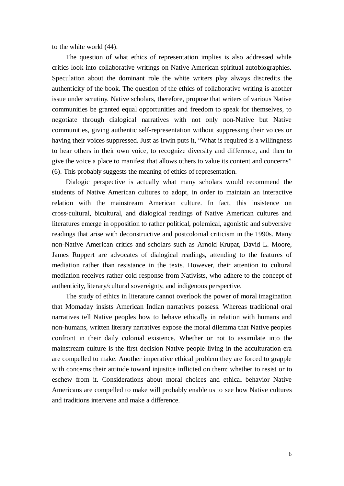to the white world (44).

The question of what ethics of representation implies is also addressed while critics look into collaborative writings on Native American spiritual autobiographies. Speculation about the dominant role the white writers play always discredits the authenticity of the book. The question of the ethics of collaborative writing is another issue under scrutiny. Native scholars, therefore, propose that writers of various Native communities be granted equal opportunities and freedom to speak for themselves, to negotiate through dialogical narratives with not only non-Native but Native communities, giving authentic self-representation without suppressing their voices or having their voices suppressed. Just as Irwin puts it, "What is required is a willingness to hear others in their own voice, to recognize diversity and difference, and then to give the voice a place to manifest that allows others to value its content and concerns" (6). This probably suggests the meaning of ethics of representation.

Dialogic perspective is actually what many scholars would recommend the students of Native American cultures to adopt, in order to maintain an interactive relation with the mainstream American culture. In fact, this insistence on cross-cultural, bicultural, and dialogical readings of Native American cultures and literatures emerge in opposition to rather political, polemical, agonistic and subversive readings that arise with deconstructive and postcolonial criticism in the 1990s. Many non-Native American critics and scholars such as Arnold Krupat, David L. Moore, James Ruppert are advocates of dialogical readings, attending to the features of mediation rather than resistance in the texts. However, their attention to cultural mediation receives rather cold response from Nativists, who adhere to the concept of authenticity, literary/cultural sovereignty, and indigenous perspective.

The study of ethics in literature cannot overlook the power of moral imagination that Momaday insists American Indian narratives possess. Whereas traditional oral narratives tell Native peoples how to behave ethically in relation with humans and non-humans, written literary narratives expose the moral dilemma that Native peoples confront in their daily colonial existence. Whether or not to assimilate into the mainstream culture is the first decision Native people living in the acculturation era are compelled to make. Another imperative ethical problem they are forced to grapple with concerns their attitude toward injustice inflicted on them: whether to resist or to eschew from it. Considerations about moral choices and ethical behavior Native Americans are compelled to make will probably enable us to see how Native cultures and traditions intervene and make a difference.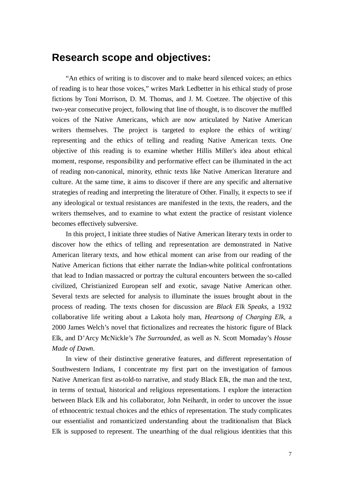### **Research scope and objectives:**

"An ethics of writing is to discover and to make heard silenced voices; an ethics of reading is to hear those voices," writes Mark Ledbetter in his ethical study of prose fictions by Toni Morrison, D. M. Thomas, and J. M. Coetzee. The objective of this two-year consecutive project, following that line of thought, is to discover the muffled voices of the Native Americans, which are now articulated by Native American writers themselves. The project is targeted to explore the ethics of writing/ representing and the ethics of telling and reading Native American texts. One objective of this reading is to examine whether Hillis Miller's idea about ethical moment, response, responsibility and performative effect can be illuminated in the act of reading non-canonical, minority, ethnic texts like Native American literature and culture. At the same time, it aims to discover if there are any specific and alternative strategies of reading and interpreting the literature of Other. Finally, it expects to see if any ideological or textual resistances are manifested in the texts, the readers, and the writers themselves, and to examine to what extent the practice of resistant violence becomes effectively subversive.

In this project, I initiate three studies of Native American literary texts in order to discover how the ethics of telling and representation are demonstrated in Native American literary texts, and how ethical moment can arise from our reading of the Native American fictions that either narrate the Indian-white political confrontations that lead to Indian massacred or portray the cultural encounters between the so-called civilized, Christianized European self and exotic, savage Native American other. Several texts are selected for analysis to illuminate the issues brought about in the process of reading. The texts chosen for discussion are *Black Elk Speaks*, a 1932 collaborative life writing about a Lakota holy man, *Heartsong of Charging Elk,* a 2000 James Welch's novel that fictionalizes and recreates the historic figure of Black Elk, and D'Arcy McNickle's *The Surrounded,* as well as N. Scott Momaday's *House Made of Dawn*.

In view of their distinctive generative features, and different representation of Southwestern Indians, I concentrate my first part on the investigation of famous Native American first as-told-to narrative, and study Black Elk, the man and the text, in terms of textual, historical and religious representations. I explore the interaction between Black Elk and his collaborator, John Neihardt, in order to uncover the issue of ethnocentric textual choices and the ethics of representation. The study complicates our essentialist and romanticized understanding about the traditionalism that Black Elk is supposed to represent. The unearthing of the dual religious identities that this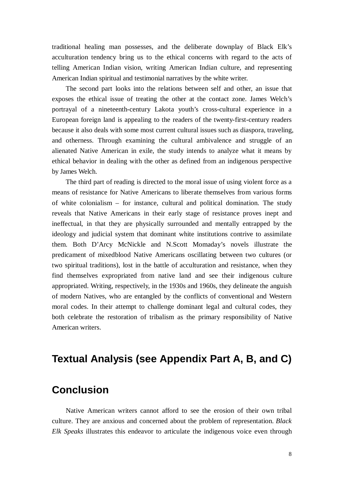traditional healing man possesses, and the deliberate downplay of Black Elk's acculturation tendency bring us to the ethical concerns with regard to the acts of telling American Indian vision, writing American Indian culture, and representing American Indian spiritual and testimonial narratives by the white writer.

The second part looks into the relations between self and other, an issue that exposes the ethical issue of treating the other at the contact zone. James Welch's portrayal of a nineteenth-century Lakota youth's cross-cultural experience in a European foreign land is appealing to the readers of the twenty-first-century readers because it also deals with some most current cultural issues such as diaspora, traveling, and otherness. Through examining the cultural ambivalence and struggle of an alienated Native American in exile, the study intends to analyze what it means by ethical behavior in dealing with the other as defined from an indigenous perspective by James Welch.

The third part of reading is directed to the moral issue of using violent force as a means of resistance for Native Americans to liberate themselves from various forms of white colonialism – for instance, cultural and political domination. The study reveals that Native Americans in their early stage of resistance proves inept and ineffectual, in that they are physically surrounded and mentally entrapped by the ideology and judicial system that dominant white institutions contrive to assimilate them. Both D'Arcy McNickle and N.Scott Momaday's novels illustrate the predicament of mixedblood Native Americans oscillating between two cultures (or two spiritual traditions), lost in the battle of acculturation and resistance, when they find themselves expropriated from native land and see their indigenous culture appropriated. Writing, respectively, in the 1930s and 1960s, they delineate the anguish of modern Natives, who are entangled by the conflicts of conventional and Western moral codes. In their attempt to challenge dominant legal and cultural codes, they both celebrate the restoration of tribalism as the primary responsibility of Native American writers.

# **Textual Analysis (see Appendix Part A, B, and C)**

## **Conclusion**

Native American writers cannot afford to see the erosion of their own tribal culture. They are anxious and concerned about the problem of representation. *Black Elk Speaks* illustrates this endeavor to articulate the indigenous voice even through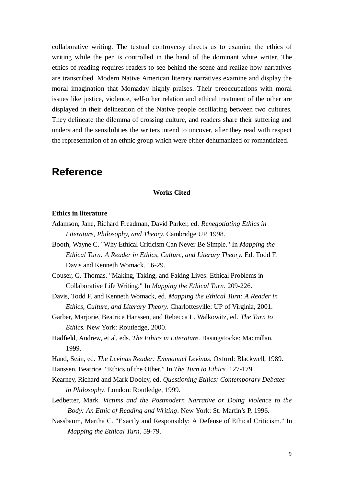collaborative writing. The textual controversy directs us to examine the ethics of writing while the pen is controlled in the hand of the dominant white writer. The ethics of reading requires readers to see behind the scene and realize how narratives are transcribed. Modern Native American literary narratives examine and display the moral imagination that Momaday highly praises. Their preoccupations with moral issues like justice, violence, self-other relation and ethical treatment of the other are displayed in their delineation of the Native people oscillating between two cultures. They delineate the dilemma of crossing culture, and readers share their suffering and understand the sensibilities the writers intend to uncover, after they read with respect the representation of an ethnic group which were either dehumanized or romanticized.

## **Reference**

### **Works Cited**

### **Ethics in literature**

- Adamson, Jane, Richard Freadman, David Parker, ed. *Renegotiating Ethics in Literature, Philosophy, and Theory.* Cambridge UP, 1998.
- Booth, Wayne C. "Why Ethical Criticism Can Never Be Simple." In *Mapping the Ethical Turn: A Reader in Ethics, Culture, and Literary Theory.* Ed. Todd F. Davis and Kenneth Womack. 16-29.

Couser, G. Thomas. "Making, Taking, and Faking Lives: Ethical Problems in Collaborative Life Writing." In *Mapping the Ethical Turn*. 209-226.

- Davis, Todd F. and Kenneth Womack, ed. *Mapping the Ethical Turn: A Reader in Ethics, Culture, and Literary Theory.* Charlottesville: UP of Virginia, 2001.
- Garber, Marjorie, Beatrice Hanssen, and Rebecca L. Walkowitz, ed. *The Turn to Ethics.* New York: Routledge, 2000.
- Hadfield, Andrew, et al, eds. *The Ethics in Literature*. Basingstocke: Macmillan, 1999.
- Hand, Seán, ed. *The Levinas Reader: Emmanuel Levinas*. Oxford: Blackwell, 1989.
- Hanssen, Beatrice. "Ethics of the Other." In *The Turn to Ethics.* 127-179.
- Kearney, Richard and Mark Dooley, ed. *Questioning Ethics: Contemporary Debates in Philosophy*. London: Routledge, 1999.
- Ledbetter, Mark. *Victims and the Postmodern Narrative or Doing Violence to the Body: An Ethic of Reading and Writing*. New York: St. Martin's P, 1996.
- Nassbaum, Martha C. "Exactly and Responsibly: A Defense of Ethical Criticism." In *Mapping the Ethical Turn*. 59-79.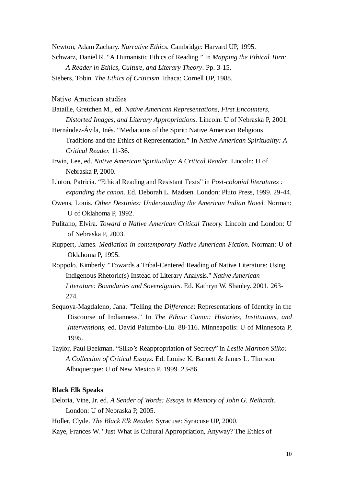Newton, Adam Zachary. *Narrative Ethics.* Cambridge: Harvard UP, 1995. Schwarz, Daniel R. "A Humanistic Ethics of Reading." In *Mapping the Ethical Turn: A Reader in Ethics, Culture, and Literary Theory*. Pp. 3-15.

Siebers, Tobin. *The Ethics of Criticism*. Ithaca: Cornell UP, 1988.

### Native American studies

- Bataille, Gretchen M., ed. *Native American Representations, First Encounters, Distorted Images, and Literary Appropriations.* Lincoln: U of Nebraska P, 2001.
- Hernández-Ávila, Inés. "Mediations of the Spirit: Native American Religious Traditions and the Ethics of Representation." In *Native American Spirituality: A Critical Reader.* 11-36.
- Irwin, Lee, ed. *Native American Spirituality: A Critical Reader*. Lincoln: U of Nebraska P, 2000.
- Linton, Patricia. "Ethical Reading and Resistant Texts" in *Post-colonial literatures : expanding the canon*. Ed. Deborah L. Madsen. London: Pluto Press, 1999. 29-44.
- Owens, Louis. *Other Destinies: Understanding the American Indian Novel*. Norman: U of Oklahoma P, 1992.
- Pulitano, Elvira. *Toward a Native American Critical Theory.* Lincoln and London: U of Nebraska P, 2003.
- Ruppert, James. *Mediation in contemporary Native American Fiction.* Norman: U of Oklahoma P, 1995.
- Roppolo, Kimberly. "Towards a Tribal-Centered Reading of Native Literature: Using Indigenous Rhetoric(s) Instead of Literary Analysis." *Native American Literature: Boundaries and Sovereignties*. Ed. Kathryn W. Shanley. 2001. 263- 274.
- Sequoya-Magdaleno, Jana. "Telling the *Difference*: Representations of Identity in the Discourse of Indianness." In *The Ethnic Canon: Histories, Institutions, and Interventions,* ed. David Palumbo-Liu. 88-116. Minneapolis: U of Minnesota P, 1995.
- Taylor, Paul Beekman. "Silko's Reappropriation of Secrecy" in *Leslie Marmon Silko: A Collection of Critical Essays.* Ed. Louise K. Barnett & James L. Thorson. Albuquerque: U of New Mexico P, 1999. 23-86.

### **Black Elk Speaks**

Deloria, Vine, Jr. ed. *A Sender of Words: Essays in Memory of John G. Neihardt.* London: U of Nebraska P, 2005.

Holler, Clyde. *The Black Elk Reader.* Syracuse: Syracuse UP, 2000.

Kaye, Frances W. "Just What Is Cultural Appropriation, Anyway? The Ethics of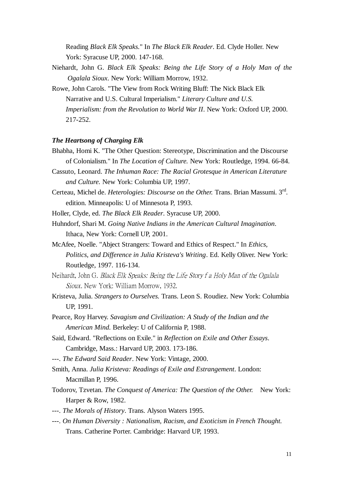Reading *Black Elk Speaks.*" In *The Black Elk Reader*. Ed. Clyde Holler. New York: Syracuse UP, 2000. 147-168.

- Niehardt, John G. *Black Elk Speaks: Being the Life Story of a Holy Man of the Ogalala Sioux*. New York: William Morrow, 1932.
- Rowe, John Carols. "The View from Rock Writing Bluff: The Nick Black Elk Narrative and U.S. Cultural Imperialism." *Literary Culture and U.S. Imperialism: from the Revolution to World War II*. New York: Oxford UP, 2000. 217-252.

#### *The Heartsong of Charging Elk*

- Bhabha, Homi K. "The Other Question: Stereotype, Discrimination and the Discourse of Colonialism." In *The Location of Culture.* New York: Routledge, 1994. 66-84.
- Cassuto, Leonard. *The Inhuman Race: The Racial Grotesque in American Literature and Culture.* New York: Columbia UP, 1997.
- Certeau, Michel de. *Heterologies: Discourse on the Other*. Trans. Brian Massumi. 3<sup>rd</sup>. edition. Minneapolis: U of Minnesota P, 1993.
- Holler, Clyde, ed. *The Black Elk Reader*. Syracuse UP, 2000.
- Huhndorf, Shari M. *Going Native Indians in the American Cultural Imagination*. Ithaca, New York: Cornell UP, 2001.
- McAfee, Noelle. "Abject Strangers: Toward and Ethics of Respect." In *Ethics, Politics, and Difference in Julia Kristeva's Writing*. Ed. Kelly Oliver. New York: Routledge, 1997. 116-134.
- Neihardt, John G. Black Elk Speaks: Being the Life Story f a Holy Man of the Ogalala Sioux. New York: William Morrow, 1932.
- Kristeva, Julia. *Strangers to Ourselves.* Trans. Leon S. Roudiez. New York: Columbia UP, 1991.
- Pearce, Roy Harvey. *Savagism and Civilization: A Study of the Indian and the American Mind.* Berkeley: U of California P, 1988.
- Said, Edward. "Reflections on Exile." in *Reflection on Exile and Other Essays*. Cambridge, Mass.: Harvard UP, 2003. 173-186.
- ---. *The Edward Said Reader*. New York: Vintage, 2000.
- Smith, Anna. *Julia Kristeva: Readings of Exile and Estrangement*. London: Macmillan P, 1996.
- Todorov, Tzvetan. *The Conquest of America: The Question of the Other.* New York: Harper & Row, 1982.
- ---. *The Morals of History*. Trans. Alyson Waters 1995.
- ---. *On Human Diversity : Nationalism, Racism, and Exoticism in French Thought.*  Trans. Catherine Porter. Cambridge: Harvard UP, 1993.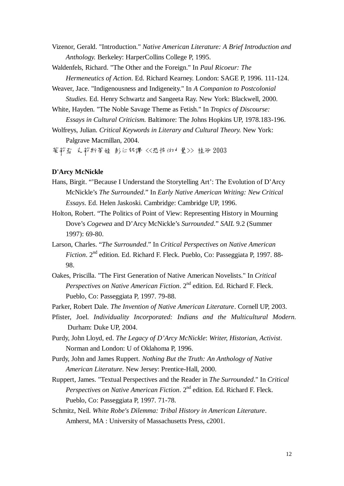Vizenor, Gerald. "Introduction." *Native American Literature: A Brief Introduction and Anthology.* Berkeley: HarperCollins College P, 1995.

Waldenfels, Richard. "The Other and the Foreign." In *Paul Ricoeur: The Hermeneutics of Action*. Ed. Richard Kearney. London: SAGE P, 1996. 111-124.

- Weaver, Jace. "Indigenousness and Indigeneity." In *A Companion to Postcolonial Studies*. Ed. Henry Schwartz and Sangeeta Ray. New York: Blackwell, 2000.
- White, Hayden. "The Noble Savage Theme as Fetish." In *Tropics of Discourse: Essays in Cultural Criticism.* Baltimore: The Johns Hopkins UP, 1978.183-196.
- Wolfreys, Julian. *Critical Keywords in Literary and Cultural Theory.* New York: Palgrave Macmillan, 2004.

茱莉亞 克莉斯蒂娃 彭仁郁譯 <<恐怖的力量>> 桂冠 2003

#### **D'Arcy McNickle**

- Hans, Birgit. "'Because I Understand the Storytelling Art': The Evolution of D'Arcy McNickle's *The Surrounded*." In *Early Native American Writing: New Critical Essays*. Ed. Helen Jaskoski. Cambridge: Cambridge UP, 1996.
- Holton, Robert. "The Politics of Point of View: Representing History in Mourning Dove's *Cogewea* and D'Arcy McNickle's *Surrounded*." *SAIL* 9.2 (Summer 1997): 69-80.
- Larson, Charles. "*The Surrounded*." In *Critical Perspectives on Native American Fiction*. 2nd edition. Ed. Richard F. Fleck. Pueblo, Co: Passeggiata P, 1997. 88- 98.
- Oakes, Priscilla. "The First Generation of Native American Novelists." In *Critical Perspectives on Native American Fiction.* 2<sup>nd</sup> edition. Ed. Richard F. Fleck. Pueblo, Co: Passeggiata P, 1997. 79-88.
- Parker, Robert Dale. *The Invention of Native American Literature*. Cornell UP, 2003.
- Pfister, Joel. *Individuality Incorporated: Indians and the Multicultural Modern.*  Durham: Duke UP, 2004.
- Purdy, John Lloyd, ed. *The Legacy of D'Arcy McNickle*: *Writer, Historian, Activist*. Norman and London: U of Oklahoma P, 1996.
- Purdy, John and James Ruppert. *Nothing But the Truth: An Anthology of Native American Literature*. New Jersey: Prentice-Hall, 2000.
- Ruppert, James. "Textual Perspectives and the Reader in *The Surrounded*." In *Critical Perspectives on Native American Fiction.* 2<sup>nd</sup> edition. Ed. Richard F. Fleck. Pueblo, Co: Passeggiata P, 1997. 71-78.
- Schmitz, Neil. *White Robe's Dilemma: Tribal History in American Literature*. Amherst, MA : University of Massachusetts Press, c2001.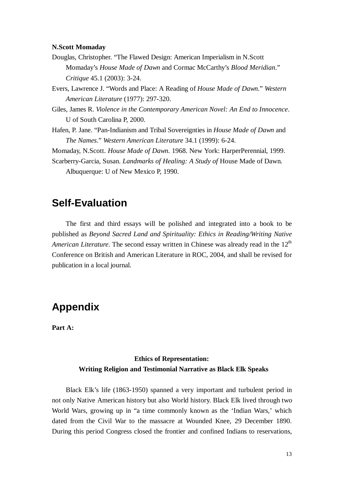### **N.Scott Momaday**

- Douglas, Christopher. "The Flawed Design: American Imperialism in N.Scott Momaday's *House Made of Dawn* and Cormac McCarthy's *Blood Meridian*." *Critique* 45.1 (2003): 3-24.
- Evers, Lawrence J. "Words and Place: A Reading of *House Made of Dawn.*" *Western American Literature* (1977): 297-320.
- Giles, James R. *Violence in the Contemporary American Novel: An End to Innocence*. U of South Carolina P, 2000.
- Hafen, P. Jane. "Pan-Indianism and Tribal Sovereignties in *House Made of Dawn* and *The Names*." *Western American Literature* 34.1 (1999): 6-24.

Momaday, N.Scott. *House Made of Dawn.* 1968. New York: HarperPerennial, 1999.

Scarberry-Garcia, Susan. *Landmarks of Healing: A Study of* House Made of Dawn*.* Albuquerque: U of New Mexico P, 1990.

## **Self-Evaluation**

The first and third essays will be polished and integrated into a book to be published as *Beyond Sacred Land and Spirituality: Ethics in Reading/Writing Native American Literature*. The second essay written in Chinese was already read in the 12<sup>th</sup> Conference on British and American Literature in ROC, 2004, and shall be revised for publication in a local journal.

### **Appendix**

**Part A:** 

### **Ethics of Representation: Writing Religion and Testimonial Narrative as Black Elk Speaks**

Black Elk's life (1863-1950) spanned a very important and turbulent period in not only Native American history but also World history. Black Elk lived through two World Wars, growing up in "a time commonly known as the 'Indian Wars,' which dated from the Civil War to the massacre at Wounded Knee, 29 December 1890. During this period Congress closed the frontier and confined Indians to reservations,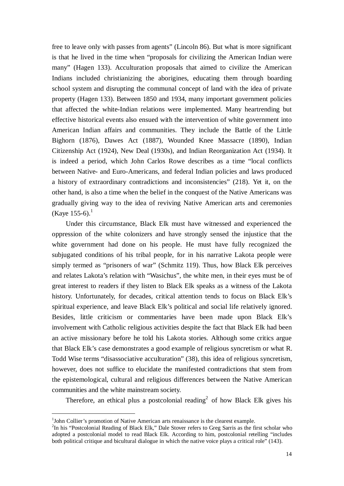free to leave only with passes from agents" (Lincoln 86). But what is more significant is that he lived in the time when "proposals for civilizing the American Indian were many" (Hagen 133). Acculturation proposals that aimed to civilize the American Indians included christianizing the aborigines, educating them through boarding school system and disrupting the communal concept of land with the idea of private property (Hagen 133). Between 1850 and 1934, many important government policies that affected the white-Indian relations were implemented. Many heartrending but effective historical events also ensued with the intervention of white government into American Indian affairs and communities. They include the Battle of the Little Bighorn (1876), Dawes Act (1887), Wounded Knee Massacre (1890), Indian Citizenship Act (1924), New Deal (1930s), and Indian Reorganization Act (1934). It is indeed a period, which John Carlos Rowe describes as a time "local conflicts between Native- and Euro-Americans, and federal Indian policies and laws produced a history of extraordinary contradictions and inconsistencies" (218). Yet it, on the other hand, is also a time when the belief in the conquest of the Native Americans was gradually giving way to the idea of reviving Native American arts and ceremonies (Kaye 155-6). $^{1}$ 

Under this circumstance, Black Elk must have witnessed and experienced the oppression of the white colonizers and have strongly sensed the injustice that the white government had done on his people. He must have fully recognized the subjugated conditions of his tribal people, for in his narrative Lakota people were simply termed as "prisoners of war" (Schmitz 119). Thus, how Black Elk perceives and relates Lakota's relation with "Wasichus", the white men, in their eyes must be of great interest to readers if they listen to Black Elk speaks as a witness of the Lakota history. Unfortunately, for decades, critical attention tends to focus on Black Elk's spiritual experience, and leave Black Elk's political and social life relatively ignored. Besides, little criticism or commentaries have been made upon Black Elk's involvement with Catholic religious activities despite the fact that Black Elk had been an active missionary before he told his Lakota stories. Although some critics argue that Black Elk's case demonstrates a good example of religious syncretism or what R. Todd Wise terms "disassociative acculturation" (38), this idea of religious syncretism, however, does not suffice to elucidate the manifested contradictions that stem from the epistemological, cultural and religious differences between the Native American communities and the white mainstream society.

Therefore, an ethical plus a postcolonial reading<sup>2</sup> of how Black Elk gives his

<sup>&</sup>lt;sup>1</sup>John Collier's promotion of Native American arts renaissance is the clearest example.

<sup>&</sup>lt;sup>2</sup>In his "Postcolonial Reading of Black Elk," Dale Stover refers to Greg Sarris as the first scholar who adopted a postcolonial model to read Black Elk. According to him, postcolonial retelling "includes both political critique and bicultural dialogue in which the native voice plays a critical role" (143).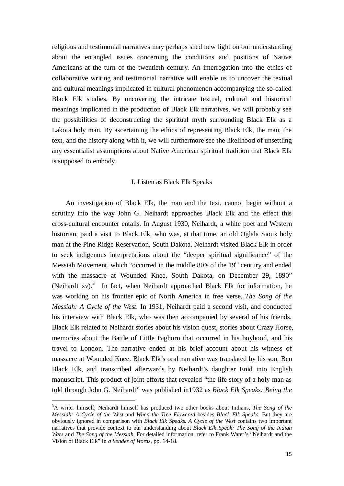religious and testimonial narratives may perhaps shed new light on our understanding about the entangled issues concerning the conditions and positions of Native Americans at the turn of the twentieth century. An interrogation into the ethics of collaborative writing and testimonial narrative will enable us to uncover the textual and cultural meanings implicated in cultural phenomenon accompanying the so-called Black Elk studies. By uncovering the intricate textual, cultural and historical meanings implicated in the production of Black Elk narratives, we will probably see the possibilities of deconstructing the spiritual myth surrounding Black Elk as a Lakota holy man. By ascertaining the ethics of representing Black Elk, the man, the text, and the history along with it, we will furthermore see the likelihood of unsettling any essentialist assumptions about Native American spiritual tradition that Black Elk is supposed to embody.

### I. Listen as Black Elk Speaks

An investigation of Black Elk, the man and the text, cannot begin without a scrutiny into the way John G. Neihardt approaches Black Elk and the effect this cross-cultural encounter entails. In August 1930, Neihardt, a white poet and Western historian, paid a visit to Black Elk, who was, at that time, an old Oglala Sioux holy man at the Pine Ridge Reservation, South Dakota. Neihardt visited Black Elk in order to seek indigenous interpretations about the "deeper spiritual significance" of the Messiah Movement, which "occurred in the middle  $80$ 's of the  $19<sup>th</sup>$  century and ended with the massacre at Wounded Knee, South Dakota, on December 29, 1890" (Neihardt xv).<sup>3</sup> In fact, when Neihardt approached Black Elk for information, he was working on his frontier epic of North America in free verse, *The Song of the Messiah: A Cycle of the West*. In 1931, Neihardt paid a second visit, and conducted his interview with Black Elk, who was then accompanied by several of his friends. Black Elk related to Neihardt stories about his vision quest, stories about Crazy Horse, memories about the Battle of Little Bighorn that occurred in his boyhood, and his travel to London. The narrative ended at his brief account about his witness of massacre at Wounded Knee. Black Elk's oral narrative was translated by his son, Ben Black Elk, and transcribed afterwards by Neihardt's daughter Enid into English manuscript. This product of joint efforts that revealed "the life story of a holy man as told through John G. Neihardt" was published in1932 as *Black Elk Speaks: Being the* 

<sup>3</sup>A writer himself, Neihardt himself has produced two other books about Indians, *The Song of the Messiah: A Cycle of the West* and *When the Tree Flowered* besides *Black Elk Speaks.* But they are obviously ignored in comparison with *Black Elk Speaks*. *A Cycle of the West* contains two important narratives that provide context to our understanding about *Black Elk Speak: The Song of the Indian Wars* and *The Song of the Messiah*. For detailed information, refer to Frank Water's "Neihardt and the Vision of Black Elk" in *a Sender of Words*, pp. 14-18.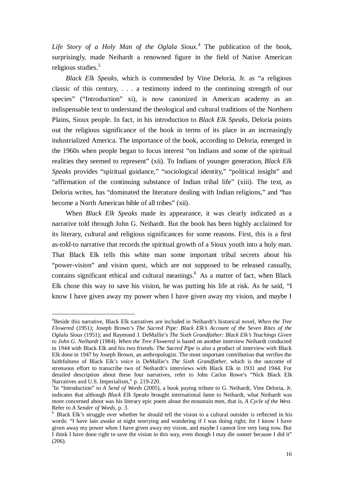Life Story of a Holy Man of the Oglala Sioux.<sup>4</sup> The publication of the book, surprisingly, made Neihardt a renowned figure in the field of Native American religious studies.<sup>5</sup>

*Black Elk Speaks,* which is commended by Vine Deloria, Jr. as "a religious classic of this century, . . . a testimony indeed to the continuing strength of our species" ("Introduction" xi), is now canonized in American academy as an indispensable text to understand the theological and cultural traditions of the Northern Plains, Sioux people. In fact, in his introduction to *Black Elk Speaks*, Deloria points out the religious significance of the book in terms of its place in an increasingly industrialized America. The importance of the book, according to Deloria, emerged in the 1960s when people began to focus interest "on Indians and some of the spiritual realities they seemed to represent" (xii). To Indians of younger generation, *Black Elk Speaks* provides "spiritual guidance," "sociological identity," "political insight" and "affirmation of the continuing substance of Indian tribal life" (xiii). The text*,* as Deloria writes, has "dominated the literature dealing with Indian religions," and "has become a North American bible of all tribes" (xii).

When *Black Elk Speaks* made its appearance, it was clearly indicated as a narrative told through John G. Neihardt. But the book has been highly acclaimed for its literary, cultural and religious significances for some reasons. First, this is a first as-told-to narrative that records the spiritual growth of a Sioux youth into a holy man. That Black Elk tells this white man some important tribal secrets about his "power-vision" and vision quest, which are not supposed to be released casually, contains significant ethical and cultural meanings.<sup>6</sup> As a matter of fact, when Black Elk chose this way to save his vision, he was putting his life at risk. As he said, "I know I have given away my power when I have given away my vision, and maybe I

<sup>4</sup>Beside this narrative, Black Elk narratives are included in Neihardt's historical novel, *When the Tree Flowered* (1951); Joseph Brown's *The Sacred Pipe: Black Elk's Account of the Seven Rites of the Oglala Sioux* (1951); and Raymond J. DeMallie's *The Sixth Grandfather: Black Elk's Teachings Given to John G. Neihardt* (1984). *When the Tree Flowered* is based on another interview Neihardt conducted in 1944 with Black Elk and his two friends. *The Sacred Pipe* is also a product of interview with Black Elk done in 1947 by Joseph Brown, an anthropologist. The most important contribution that verifies the faithfulness of Black Elk's voice is DeMallie's *The Sixth Grandfather*, which is the outcome of strenuous effort to transcribe two of Neihardt's interviews with Black Elk in 1931 and 1944. For detailed description about these four narratives, refer to John Carlos Rowe's "Nick Black Elk Narratives and U.S. Imperialism," p. 219-220.

<sup>5</sup> In "Introduction" to *A Send of Words* (2005)*,* a book paying tribute to G. Neihardt, Vine Deloria, Jr. indicates that although *Black Elk Speaks* brought international fame to Neihardt, what Neihardt was more concerned about was his literary epic poem about the mountain men, that is, *A Cycle of the West*. Refer to *A Sender of Words*, p. 3.

<sup>&</sup>lt;sup>6</sup> Black Elk's struggle over whether he should tell the vision to a cultural outsider is reflected in his words: "I have lain awake at night worrying and wondering if I was doing right; for I know I have given away my power when I have given away my vision, and maybe I cannot live very long now. But I think I have done right to save the vision in this way, even though I may die sooner because I did it" (206).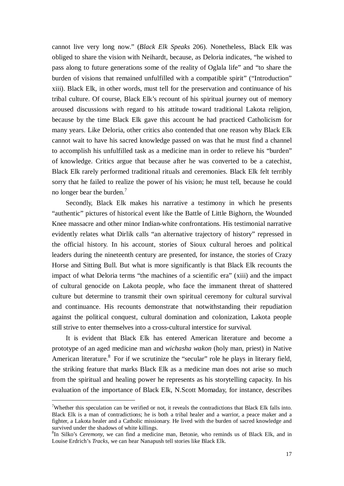cannot live very long now." (*Black Elk Speaks* 206). Nonetheless, Black Elk was obliged to share the vision with Neihardt, because, as Deloria indicates, "he wished to pass along to future generations some of the reality of Oglala life" and "to share the burden of visions that remained unfulfilled with a compatible spirit" ("Introduction" xiii). Black Elk, in other words, must tell for the preservation and continuance of his tribal culture. Of course, Black Elk's recount of his spiritual journey out of memory aroused discussions with regard to his attitude toward traditional Lakota religion, because by the time Black Elk gave this account he had practiced Catholicism for many years. Like Deloria, other critics also contended that one reason why Black Elk cannot wait to have his sacred knowledge passed on was that he must find a channel to accomplish his unfulfilled task as a medicine man in order to relieve his "burden" of knowledge. Critics argue that because after he was converted to be a catechist, Black Elk rarely performed traditional rituals and ceremonies. Black Elk felt terribly sorry that he failed to realize the power of his vision; he must tell, because he could no longer bear the burden.<sup>7</sup>

Secondly, Black Elk makes his narrative a testimony in which he presents "authentic" pictures of historical event like the Battle of Little Bighorn, the Wounded Knee massacre and other minor Indian-white confrontations. His testimonial narrative evidently relates what Dirlik calls "an alternative trajectory of history" repressed in the official history. In his account, stories of Sioux cultural heroes and political leaders during the nineteenth century are presented, for instance, the stories of Crazy Horse and Sitting Bull. But what is more significantly is that Black Elk recounts the impact of what Deloria terms "the machines of a scientific era" (xiii) and the impact of cultural genocide on Lakota people, who face the immanent threat of shattered culture but determine to transmit their own spiritual ceremony for cultural survival and continuance. His recounts demonstrate that notwithstanding their repudiation against the political conquest, cultural domination and colonization, Lakota people still strive to enter themselves into a cross-cultural interstice for survival.

It is evident that Black Elk has entered American literature and become a prototype of an aged medicine man and *wichasha wakon* (holy man, priest) in Native American literature.<sup>8</sup> For if we scrutinize the "secular" role he plays in literary field, the striking feature that marks Black Elk as a medicine man does not arise so much from the spiritual and healing power he represents as his storytelling capacity. In his evaluation of the importance of Black Elk, N.Scott Momaday, for instance, describes

<sup>&</sup>lt;sup>7</sup>Whether this speculation can be verified or not, it reveals the contradictions that Black Elk falls into. Black Elk is a man of contradictions; he is both a tribal healer and a warrior, a peace maker and a fighter, a Lakota healer and a Catholic missionary. He lived with the burden of sacred knowledge and survived under the shadows of white killings.

<sup>8</sup> In Silko's *Ceremony,* we can find a medicine man, Betonie, who reminds us of Black Elk, and in Louise Erdrich's *Tracks*, we can hear Nanapush tell stories like Black Elk.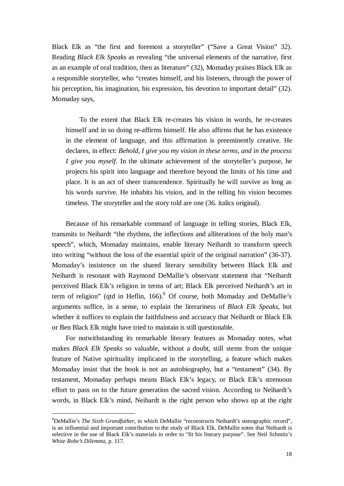Black Elk as "the first and foremost a storyteller" ("Save a Great Vision" 32). Reading *Black Elk Speaks* as revealing "the universal elements of the narrative, first as an example of oral tradition, then as literature" (32), Momaday praises Black Elk as a responsible storyteller, who "creates himself, and his listeners, through the power of his perception, his imagination, his expression, his devotion to important detail" (32). Momaday says,

To the extent that Black Elk re-creates his vision in words, he re-creates himself and in so doing re-affirms himself. He also affirms that he has existence in the element of language, and this affirmation is preeminently creative. He declares, in effect: *Behold, I give you my vision in these terms, and in the process I give you myself*. In the ultimate achievement of the storyteller's purpose, he projects his spirit into language and therefore beyond the limits of his time and place. It is an act of sheer transcendence. Spiritually he will survive as long as his words survive. He inhabits his vision, and in the telling his vision becomes timeless. The storyteller and the story told are one (36. italics original).

Because of his remarkable command of language in telling stories, Black Elk, transmits to Neihardt "the rhythms, the inflections and alliterations of the holy man's speech", which, Momaday maintains, enable literary Neihardt to transform speech into writing "without the loss of the essential spirit of the original narration" (36-37). Momaday's insistence on the shared literary sensibility between Black Elk and Neihardt is resonant with Raymond DeMallie's observant statement that "Neihardt perceived Black Elk's religion in terms of art; Black Elk perceived Neihardt's art in term of religion" (qtd in Heflin,  $166$ ).  $^{9}$  Of course, both Momaday and DeMallie's arguments suffice, in a sense, to explain the literariness of *Black Elk Speaks*, but whether it suffices to explain the faithfulness and accuracy that Neihardt or Black Elk or Ben Black Elk might have tried to maintain is still questionable.

For notwithstanding its remarkable literary features as Momaday notes, what makes *Black Elk Speaks* so valuable, without a doubt, still stems from the unique feature of Native spirituality implicated in the storytelling, a feature which makes Momaday insist that the book is not an autobiography, but a "testament" (34). By testament, Momaday perhaps means Black Elk's legacy, or Black Elk's strenuous effort to pass on to the future generation the sacred vision. According to Neihardt's words, in Black Elk's mind, Neihardt is the right person who shows up at the right

<sup>9</sup>DeMallie's *The Sixth Grandfather*, in which DeMallie "reconstructs Neihardt's stenographic record", is an influential and important contribution to the study of Black Elk. DeMallie notes that Neihardt is selective in the use of Black Elk's materials in order to "fit his literary purpose". See Neil Schmitz's *White Robe's Dilemma*, p. 117.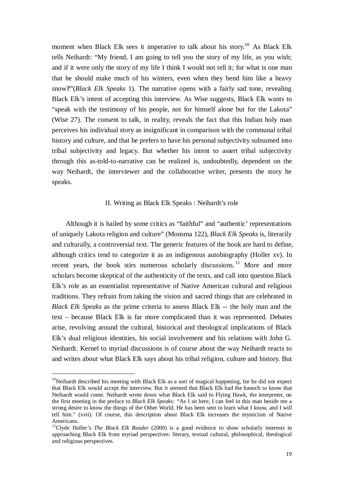moment when Black Elk sees it imperative to talk about his story.<sup>10</sup> As Black Elk tells Neihardt: "My friend, I am going to tell you the story of my life, as you wish; and if it were only the story of my life I think I would not tell it; for what is one man that he should make much of his winters, even when they bend him like a heavy snow**?**"(*Black Elk Speaks* 1). The narrative opens with a fairly sad tone, revealing Black Elk's intent of accepting this interview. As Wise suggests, Black Elk wants to "speak with the testimony of his people, not for himself alone but for the Lakota" (Wise 27). The consent to talk, in reality, reveals the fact that this Indian holy man perceives his individual story as insignificant in comparison with the communal tribal history and culture, and that he prefers to have his personal subjectivity subsumed into tribal subjectivity and legacy. But whether his intent to assert tribal subjectivity through this as-told-to-narrative can be realized is, undoubtedly, dependent on the way Neihardt, the interviewer and the collaborative writer, presents the story he speaks.

#### II. Writing as Black Elk Speaks : Neihardt's role

Although it is hailed by some critics as "faithful" and "authentic' representations of uniquely Lakota religion and culture" (Monsma 122), *Black Elk Speaks* is, literarily and culturally, a controversial text. The generic features of the book are hard to define, although critics tend to categorize it as an indigenous autobiography (Holler xv). In recent years, the book stirs numerous scholarly discussions.<sup>11</sup> More and more scholars become skeptical of the authenticity of the texts, and call into question Black Elk's role as an essentialist representative of Native American cultural and religious traditions. They refrain from taking the vision and sacred things that are celebrated in *Black Elk Speaks* as the prime criteria to assess Black Elk -- the holy man and the text – because Black Elk is far more complicated than it was represented. Debates arise, revolving around the cultural, historical and theological implications of Black Elk's dual religious identities, his social involvement and his relations with John G. Neihardt. Kernel to myriad discussions is of course about the way Neihardt reacts to and writes about what Black Elk says about his tribal religion, culture and history. But

-

 $10$ Neihardt described his meeting with Black Elk as a sort of magical happening, for he did not expect that Black Elk would accept the interview. But it seemed that Black Elk had the haunch to know that Neihardt would come. Neihardt wrote down what Black Elk said to Flying Hawk, the interpreter, on the first meeting in the preface to *Black Elk Speaks: "*As I sit here, I can feel in this man beside me a strong desire to know the things of the Other World. He has been sent to learn what I know, and I will tell him." (xvii). Of course, this description about Black Elk increases the mysticism of Native Americans.

<sup>&</sup>lt;sup>11</sup>Clyde Holler's *The Black Elk Reader* (2000) is a good evidence to show scholarly interests in approaching Black Elk from myriad perspectives: literary, textual cultural, philosophical, theological and religious perspectives.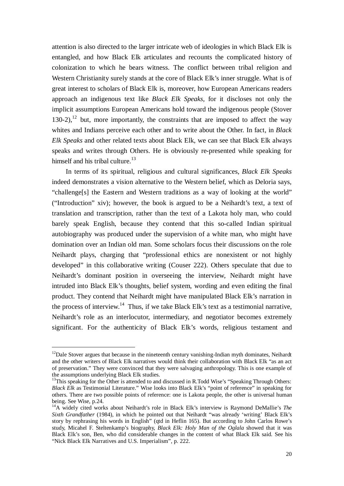attention is also directed to the larger intricate web of ideologies in which Black Elk is entangled, and how Black Elk articulates and recounts the complicated history of colonization to which he bears witness. The conflict between tribal religion and Western Christianity surely stands at the core of Black Elk's inner struggle. What is of great interest to scholars of Black Elk is, moreover, how European Americans readers approach an indigenous text like *Black Elk Speaks,* for it discloses not only the implicit assumptions European Americans hold toward the indigenous people (Stover  $130-2$ ),<sup>12</sup> but, more importantly, the constraints that are imposed to affect the way whites and Indians perceive each other and to write about the Other. In fact, in *Black Elk Speaks* and other related texts about Black Elk, we can see that Black Elk always speaks and writes through Others. He is obviously re-presented while speaking for himself and his tribal culture.<sup>13</sup>

In terms of its spiritual, religious and cultural significances, *Black Elk Speaks* indeed demonstrates a vision alternative to the Western belief, which as Deloria says, "challenge[s] the Eastern and Western traditions as a way of looking at the world" ("Introduction" xiv); however, the book is argued to be a Neihardt's text, a text of translation and transcription, rather than the text of a Lakota holy man, who could barely speak English, because they contend that this so-called Indian spiritual autobiography was produced under the supervision of a white man, who might have domination over an Indian old man. Some scholars focus their discussions on the role Neihardt plays, charging that "professional ethics are nonexistent or not highly developed" in this collaborative writing (Couser 222). Others speculate that due to Neihardt's dominant position in overseeing the interview, Neihardt might have intruded into Black Elk's thoughts, belief system, wording and even editing the final product. They contend that Neihardt might have manipulated Black Elk's narration in the process of interview.<sup>14</sup> Thus, if we take Black Elk's text as a testimonial narrative, Neihardt's role as an interlocutor, intermediary, and negotiator becomes extremely significant. For the authenticity of Black Elk's words, religious testament and

 $12$ Dale Stover argues that because in the nineteenth century vanishing-Indian myth dominates, Neihardt and the other writers of Black Elk narratives would think their collaboration with Black Elk "as an act of preservation." They were convinced that they were salvaging anthropology. This is one example of the assumptions underlying Black Elk studies.

<sup>&</sup>lt;sup>13</sup>This speaking for the Other is attended to and discussed in R.Todd Wise's "Speaking Through Others: *Black Elk* as Testimonial Literature." Wise looks into Black Elk's "point of reference" in speaking for others. There are two possible points of reference: one is Lakota people, the other is universal human being. See Wise, p.24.

<sup>&</sup>lt;sup>14</sup>A widely cited works about Neihardt's role in Black Elk's interview is Raymond DeMallie's The *Sixth Grandfather* (1984), in which he pointed out that Neihardt "was already 'writing' Black Elk's story by rephrasing his words in English" (qtd in Heflin 165). But according to John Carlos Rowe's study, Micahel F. Steltenkamp's biography, *Black Elk: Holy Man of the Oglala* showed that it was Black Elk's son, Ben, who did considerable changes in the content of what Black Elk said. See his "Nick Black Elk Narratives and U.S. Imperialism", p. 222.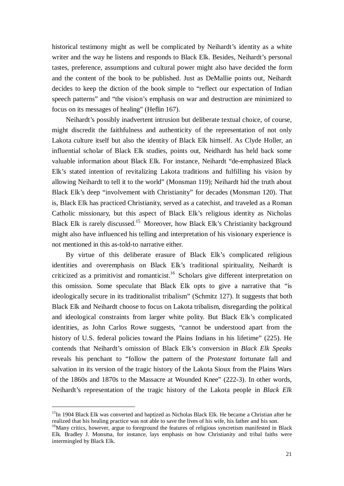historical testimony might as well be complicated by Neihardt's identity as a white writer and the way he listens and responds to Black Elk. Besides, Neihardt's personal tastes, preference, assumptions and cultural power might also have decided the form and the content of the book to be published. Just as DeMallie points out, Neihardt decides to keep the diction of the book simple to "reflect our expectation of Indian speech patterns" and "the vision's emphasis on war and destruction are minimized to focus on its messages of healing" (Heflin 167).

Neihardt's possibly inadvertent intrusion but deliberate textual choice, of course, might discredit the faithfulness and authenticity of the representation of not only Lakota culture itself but also the identity of Black Elk himself. As Clyde Holler, an influential scholar of Black Elk studies, points out, Neidhardt has held back some valuable information about Black Elk. For instance, Neihardt "de-emphasized Black Elk's stated intention of revitalizing Lakota traditions and fulfilling his vision by allowing Neihardt to tell it to the world" (Monsman 119); Neihardt hid the truth about Black Elk's deep "involvement with Christianity" for decades (Monsman 120). That is, Black Elk has practiced Christianity, served as a catechist, and traveled as a Roman Catholic missionary, but this aspect of Black Elk's religious identity as Nicholas Black Elk is rarely discussed.<sup>15</sup> Moreover, how Black Elk's Christianity background might also have influenced his telling and interpretation of his visionary experience is not mentioned in this as-told-to narrative either.

By virtue of this deliberate erasure of Black Elk's complicated religious identities and overemphasis on Black Elk's traditional spirituality, Neihardt is criticized as a primitivist and romanticist.<sup>16</sup> Scholars give different interpretation on this omission. Some speculate that Black Elk opts to give a narrative that "is ideologically secure in its traditionalist tribalism" (Schmitz 127). It suggests that both Black Elk and Neihardt choose to focus on Lakota tribalism, disregarding the political and ideological constraints from larger white polity. But Black Elk's complicated identities, as John Carlos Rowe suggests, "cannot be understood apart from the history of U.S. federal policies toward the Plains Indians in his lifetime" (225). He contends that Neihardt's omission of Black Elk's conversion in *Black Elk Speaks* reveals his penchant to "follow the pattern of the *Protestant* fortunate fall and salvation in its version of the tragic history of the Lakota Sioux from the Plains Wars of the 1860s and 1870s to the Massacre at Wounded Knee" (222-3). In other words, Neihardt's representation of the tragic history of the Lakota people in *Black Elk* 

<sup>&</sup>lt;sup>15</sup>In 1904 Black Elk was converted and baptized as Nicholas Black Elk. He became a Christian after he realized that his healing practice was not able to save the lives of his wife, his father and his son.

<sup>&</sup>lt;sup>16</sup>Many critics, however, argue to foreground the features of religious syncretism manifested in Black Elk. Bradley J. Monsma, for instance, lays emphasis on how Christianity and tribal faiths were intermingled by Black Elk.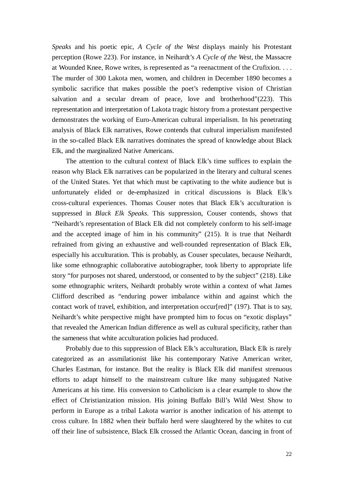*Speaks* and his poetic epic, *A Cycle of the West* displays mainly his Protestant perception (Rowe 223). For instance, in Neihardt's *A Cycle of the West,* the Massacre at Wounded Knee, Rowe writes, is represented as "a reenactment of the Crufixion. . . . The murder of 300 Lakota men, women, and children in December 1890 becomes a symbolic sacrifice that makes possible the poet's redemptive vision of Christian salvation and a secular dream of peace, love and brotherhood"(223). This representation and interpretation of Lakota tragic history from a protestant perspective demonstrates the working of Euro-American cultural imperialism. In his penetrating analysis of Black Elk narratives, Rowe contends that cultural imperialism manifested in the so-called Black Elk narratives dominates the spread of knowledge about Black Elk, and the marginalized Native Americans.

The attention to the cultural context of Black Elk's time suffices to explain the reason why Black Elk narratives can be popularized in the literary and cultural scenes of the United States. Yet that which must be captivating to the white audience but is unfortunately elided or de-emphasized in critical discussions is Black Elk's cross-cultural experiences. Thomas Couser notes that Black Elk's acculturation is suppressed in *Black Elk Speaks*. This suppression, Couser contends, shows that "Neihardt's representation of Black Elk did not completely conform to his self-image and the accepted image of him in his community" (215). It is true that Neihardt refrained from giving an exhaustive and well-rounded representation of Black Elk, especially his acculturation. This is probably, as Couser speculates, because Neihardt, like some ethnographic collaborative autobiographer, took liberty to appropriate life story "for purposes not shared, understood, or consented to by the subject" (218). Like some ethnographic writers, Neihardt probably wrote within a context of what James Clifford described as "enduring power imbalance within and against which the contact work of travel, exhibition, and interpretation occur[red]" (197). That is to say, Neihardt's white perspective might have prompted him to focus on "exotic displays" that revealed the American Indian difference as well as cultural specificity, rather than the sameness that white acculturation policies had produced.

Probably due to this suppression of Black Elk's acculturation, Black Elk is rarely categorized as an assmilationist like his contemporary Native American writer, Charles Eastman, for instance. But the reality is Black Elk did manifest strenuous efforts to adapt himself to the mainstream culture like many subjugated Native Americans at his time. His conversion to Catholicism is a clear example to show the effect of Christianization mission. His joining Buffalo Bill's Wild West Show to perform in Europe as a tribal Lakota warrior is another indication of his attempt to cross culture. In 1882 when their buffalo herd were slaughtered by the whites to cut off their line of subsistence, Black Elk crossed the Atlantic Ocean, dancing in front of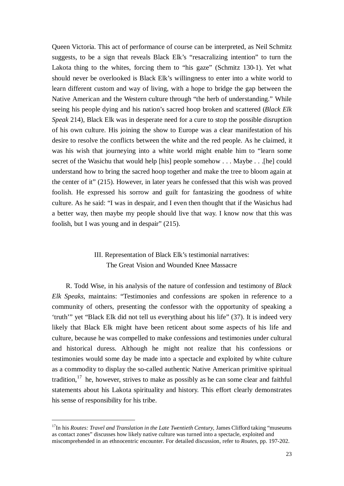Queen Victoria. This act of performance of course can be interpreted, as Neil Schmitz suggests, to be a sign that reveals Black Elk's "resacralizing intention" to turn the Lakota thing to the whites, forcing them to "his gaze" (Schmitz 130-1). Yet what should never be overlooked is Black Elk's willingness to enter into a white world to learn different custom and way of living, with a hope to bridge the gap between the Native American and the Western culture through "the herb of understanding." While seeing his people dying and his nation's sacred hoop broken and scattered (*Black Elk Speak* 214), Black Elk was in desperate need for a cure to stop the possible disruption of his own culture. His joining the show to Europe was a clear manifestation of his desire to resolve the conflicts between the white and the red people. As he claimed, it was his wish that journeying into a white world might enable him to "learn some secret of the Wasichu that would help [his] people somehow . . . Maybe . . .[he] could understand how to bring the sacred hoop together and make the tree to bloom again at the center of it" (215). However, in later years he confessed that this wish was proved foolish. He expressed his sorrow and guilt for fantasizing the goodness of white culture. As he said: "I was in despair, and I even then thought that if the Wasichus had a better way, then maybe my people should live that way. I know now that this was foolish, but I was young and in despair" (215).

### III. Representation of Black Elk's testimonial narratives: The Great Vision and Wounded Knee Massacre

R. Todd Wise, in his analysis of the nature of confession and testimony of *Black Elk Speaks*, maintains: "Testimonies and confessions are spoken in reference to a community of others, presenting the confessor with the opportunity of speaking a 'truth'" yet "Black Elk did not tell us everything about his life" (37). It is indeed very likely that Black Elk might have been reticent about some aspects of his life and culture, because he was compelled to make confessions and testimonies under cultural and historical duress. Although he might not realize that his confessions or testimonies would some day be made into a spectacle and exploited by white culture as a commodity to display the so-called authentic Native American primitive spiritual tradition, $17$  he, however, strives to make as possibly as he can some clear and faithful statements about his Lakota spirituality and history. This effort clearly demonstrates his sense of responsibility for his tribe.

<sup>&</sup>lt;sup>17</sup>In his *Routes: Travel and Translation in the Late Twentieth Century*, James Clifford taking "museums" as contact zones" discusses how likely native culture was turned into a spectacle, exploited and miscomprehended in an ethnocentric encounter. For detailed discussion, refer to *Routes*, pp. 197-202.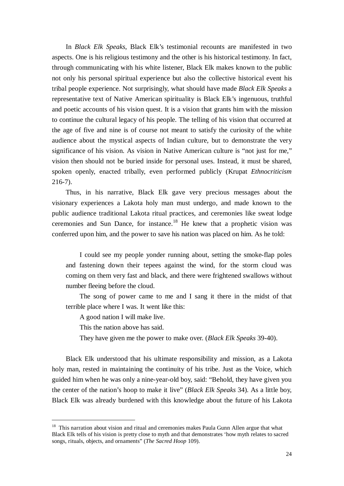In *Black Elk Speaks*, Black Elk's testimonial recounts are manifested in two aspects. One is his religious testimony and the other is his historical testimony. In fact, through communicating with his white listener, Black Elk makes known to the public not only his personal spiritual experience but also the collective historical event his tribal people experience. Not surprisingly, what should have made *Black Elk Speaks* a representative text of Native American spirituality is Black Elk's ingenuous, truthful and poetic accounts of his vision quest. It is a vision that grants him with the mission to continue the cultural legacy of his people. The telling of his vision that occurred at the age of five and nine is of course not meant to satisfy the curiosity of the white audience about the mystical aspects of Indian culture, but to demonstrate the very significance of his vision. As vision in Native American culture is "not just for me," vision then should not be buried inside for personal uses. Instead, it must be shared, spoken openly, enacted tribally, even performed publicly (Krupat *Ethnocriticism* 216-7).

Thus, in his narrative, Black Elk gave very precious messages about the visionary experiences a Lakota holy man must undergo, and made known to the public audience traditional Lakota ritual practices, and ceremonies like sweat lodge ceremonies and Sun Dance, for instance.<sup>18</sup> He knew that a prophetic vision was conferred upon him, and the power to save his nation was placed on him. As he told:

I could see my people yonder running about, setting the smoke-flap poles and fastening down their tepees against the wind, for the storm cloud was coming on them very fast and black, and there were frightened swallows without number fleeing before the cloud.

The song of power came to me and I sang it there in the midst of that terrible place where I was. It went like this:

A good nation I will make live.

This the nation above has said.

<u>.</u>

They have given me the power to make over. (*Black Elk Speaks* 39-40).

Black Elk understood that his ultimate responsibility and mission, as a Lakota holy man, rested in maintaining the continuity of his tribe. Just as the Voice, which guided him when he was only a nine-year-old boy, said: "Behold, they have given you the center of the nation's hoop to make it live" (*Black Elk Speaks* 34). As a little boy, Black Elk was already burdened with this knowledge about the future of his Lakota

 $18$  This narration about vision and ritual and ceremonies makes Paula Gunn Allen argue that what Black Elk tells of his vision is pretty close to myth and that demonstrates 'how myth relates to sacred songs, rituals, objects, and ornaments" (*The Sacred Hoop* 109).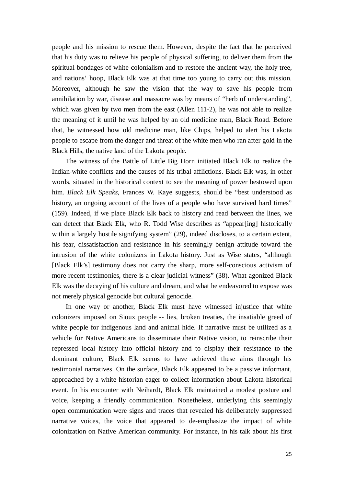people and his mission to rescue them. However, despite the fact that he perceived that his duty was to relieve his people of physical suffering, to deliver them from the spiritual bondages of white colonialism and to restore the ancient way, the holy tree, and nations' hoop, Black Elk was at that time too young to carry out this mission. Moreover, although he saw the vision that the way to save his people from annihilation by war, disease and massacre was by means of "herb of understanding", which was given by two men from the east (Allen 111-2), he was not able to realize the meaning of it until he was helped by an old medicine man, Black Road. Before that, he witnessed how old medicine man, like Chips, helped to alert his Lakota people to escape from the danger and threat of the white men who ran after gold in the Black Hills, the native land of the Lakota people.

The witness of the Battle of Little Big Horn initiated Black Elk to realize the Indian-white conflicts and the causes of his tribal afflictions. Black Elk was, in other words, situated in the historical context to see the meaning of power bestowed upon him. *Black Elk Speaks*, Frances W. Kaye suggests, should be "best understood as history, an ongoing account of the lives of a people who have survived hard times" (159). Indeed, if we place Black Elk back to history and read between the lines, we can detect that Black Elk, who R. Todd Wise describes as "appear[ing] historically within a largely hostile signifying system" (29), indeed discloses, to a certain extent, his fear, dissatisfaction and resistance in his seemingly benign attitude toward the intrusion of the white colonizers in Lakota history. Just as Wise states, "although [Black Elk's] testimony does not carry the sharp, more self-conscious activism of more recent testimonies, there is a clear judicial witness" (38). What agonized Black Elk was the decaying of his culture and dream, and what he endeavored to expose was not merely physical genocide but cultural genocide.

In one way or another, Black Elk must have witnessed injustice that white colonizers imposed on Sioux people -- lies, broken treaties, the insatiable greed of white people for indigenous land and animal hide. If narrative must be utilized as a vehicle for Native Americans to disseminate their Native vision, to reinscribe their repressed local history into official history and to display their resistance to the dominant culture, Black Elk seems to have achieved these aims through his testimonial narratives. On the surface, Black Elk appeared to be a passive informant, approached by a white historian eager to collect information about Lakota historical event. In his encounter with Neihardt, Black Elk maintained a modest posture and voice, keeping a friendly communication. Nonetheless, underlying this seemingly open communication were signs and traces that revealed his deliberately suppressed narrative voices, the voice that appeared to de-emphasize the impact of white colonization on Native American community. For instance, in his talk about his first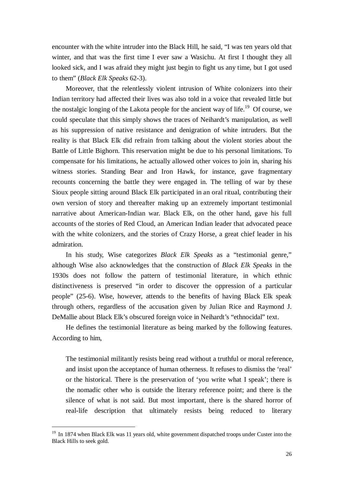encounter with the white intruder into the Black Hill, he said, "I was ten years old that winter, and that was the first time I ever saw a Wasichu. At first I thought they all looked sick, and I was afraid they might just begin to fight us any time, but I got used to them" (*Black Elk Speaks* 62-3).

Moreover, that the relentlessly violent intrusion of White colonizers into their Indian territory had affected their lives was also told in a voice that revealed little but the nostalgic longing of the Lakota people for the ancient way of life.<sup>19</sup> Of course, we could speculate that this simply shows the traces of Neihardt's manipulation, as well as his suppression of native resistance and denigration of white intruders. But the reality is that Black Elk did refrain from talking about the violent stories about the Battle of Little Bighorn. This reservation might be due to his personal limitations. To compensate for his limitations, he actually allowed other voices to join in, sharing his witness stories. Standing Bear and Iron Hawk, for instance, gave fragmentary recounts concerning the battle they were engaged in. The telling of war by these Sioux people sitting around Black Elk participated in an oral ritual, contributing their own version of story and thereafter making up an extremely important testimonial narrative about American-Indian war. Black Elk, on the other hand, gave his full accounts of the stories of Red Cloud, an American Indian leader that advocated peace with the white colonizers, and the stories of Crazy Horse, a great chief leader in his admiration.

In his study, Wise categorizes *Black Elk Speaks* as a "testimonial genre," although Wise also acknowledges that the construction of *Black Elk Speaks* in the 1930s does not follow the pattern of testimonial literature, in which ethnic distinctiveness is preserved "in order to discover the oppression of a particular people" (25-6). Wise, however, attends to the benefits of having Black Elk speak through others, regardless of the accusation given by Julian Rice and Raymond J. DeMallie about Black Elk's obscured foreign voice in Neihardt's "ethnocidal" text.

He defines the testimonial literature as being marked by the following features. According to him,

The testimonial militantly resists being read without a truthful or moral reference, and insist upon the acceptance of human otherness. It refuses to dismiss the 'real' or the historical. There is the preservation of 'you write what I speak'; there is the nomadic other who is outside the literary reference point; and there is the silence of what is not said. But most important, there is the shared horror of real-life description that ultimately resists being reduced to literary

<sup>&</sup>lt;sup>19</sup> In 1874 when Black Elk was 11 years old, white government dispatched troops under Custer into the Black Hills to seek gold.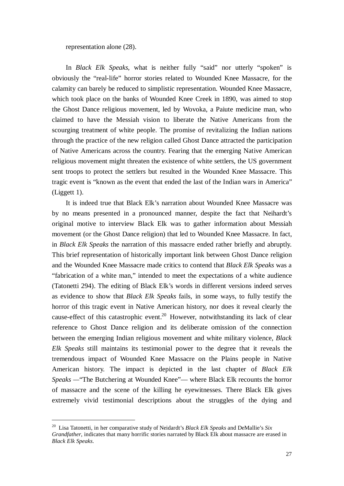representation alone (28).

In *Black Elk Speaks*, what is neither fully "said" nor utterly "spoken" is obviously the "real-life" horror stories related to Wounded Knee Massacre, for the calamity can barely be reduced to simplistic representation. Wounded Knee Massacre, which took place on the banks of Wounded Knee Creek in 1890, was aimed to stop the Ghost Dance religious movement, led by Wovoka, a Paiute medicine man, who claimed to have the Messiah vision to liberate the Native Americans from the scourging treatment of white people. The promise of revitalizing the Indian nations through the practice of the new religion called Ghost Dance attracted the participation of Native Americans across the country. Fearing that the emerging Native American religious movement might threaten the existence of white settlers, the US government sent troops to protect the settlers but resulted in the Wounded Knee Massacre. This tragic event is "known as the event that ended the last of the Indian wars in America" (Liggett 1).

It is indeed true that Black Elk's narration about Wounded Knee Massacre was by no means presented in a pronounced manner, despite the fact that Neihardt's original motive to interview Black Elk was to gather information about Messiah movement (or the Ghost Dance religion) that led to Wounded Knee Massacre. In fact, in *Black Elk Speaks* the narration of this massacre ended rather briefly and abruptly. This brief representation of historically important link between Ghost Dance religion and the Wounded Knee Massacre made critics to contend that *Black Elk Speaks* was a "fabrication of a white man," intended to meet the expectations of a white audience (Tatonetti 294). The editing of Black Elk's words in different versions indeed serves as evidence to show that *Black Elk Speaks* fails, in some ways, to fully testify the horror of this tragic event in Native American history, nor does it reveal clearly the cause-effect of this catastrophic event.<sup>20</sup> However, notwithstanding its lack of clear reference to Ghost Dance religion and its deliberate omission of the connection between the emerging Indian religious movement and white military violence, *Black Elk Speaks* still maintains its testimonial power to the degree that it reveals the tremendous impact of Wounded Knee Massacre on the Plains people in Native American history. The impact is depicted in the last chapter of *Black Elk Speaks —*"The Butchering at Wounded Knee"— where Black Elk recounts the horror of massacre and the scene of the killing he eyewitnesses. There Black Elk gives extremely vivid testimonial descriptions about the struggles of the dying and

<sup>20</sup> Lisa Tatonetti, in her comparative study of Neidardt's *Black Elk Speaks* and DeMallie's *Six Grandfather*, indicates that many horrific stories narrated by Black Elk about massacre are erased in *Black Elk Speaks*.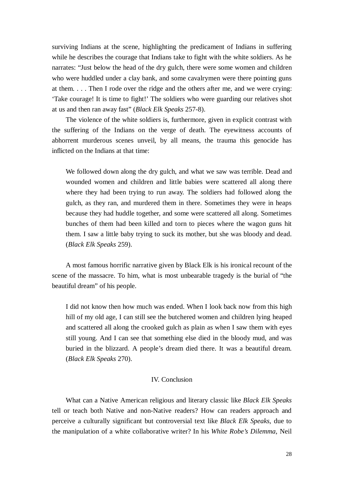surviving Indians at the scene, highlighting the predicament of Indians in suffering while he describes the courage that Indians take to fight with the white soldiers. As he narrates: "Just below the head of the dry gulch, there were some women and children who were huddled under a clay bank, and some cavalrymen were there pointing guns at them. . . . Then I rode over the ridge and the others after me, and we were crying: 'Take courage! It is time to fight!' The soldiers who were guarding our relatives shot at us and then ran away fast" (*Black Elk Speaks* 257-8).

The violence of the white soldiers is, furthermore, given in explicit contrast with the suffering of the Indians on the verge of death. The eyewitness accounts of abhorrent murderous scenes unveil, by all means, the trauma this genocide has inflicted on the Indians at that time:

We followed down along the dry gulch, and what we saw was terrible. Dead and wounded women and children and little babies were scattered all along there where they had been trying to run away. The soldiers had followed along the gulch, as they ran, and murdered them in there. Sometimes they were in heaps because they had huddle together, and some were scattered all along. Sometimes bunches of them had been killed and torn to pieces where the wagon guns hit them. I saw a little baby trying to suck its mother, but she was bloody and dead. (*Black Elk Speaks* 259).

A most famous horrific narrative given by Black Elk is his ironical recount of the scene of the massacre. To him, what is most unbearable tragedy is the burial of "the beautiful dream" of his people.

I did not know then how much was ended. When I look back now from this high hill of my old age, I can still see the butchered women and children lying heaped and scattered all along the crooked gulch as plain as when I saw them with eyes still young. And I can see that something else died in the bloody mud, and was buried in the blizzard. A people's dream died there. It was a beautiful dream. (*Black Elk Speaks* 270).

### IV. Conclusion

What can a Native American religious and literary classic like *Black Elk Speaks* tell or teach both Native and non-Native readers? How can readers approach and perceive a culturally significant but controversial text like *Black Elk Speaks*, due to the manipulation of a white collaborative writer? In his *White Robe's Dilemma*, Neil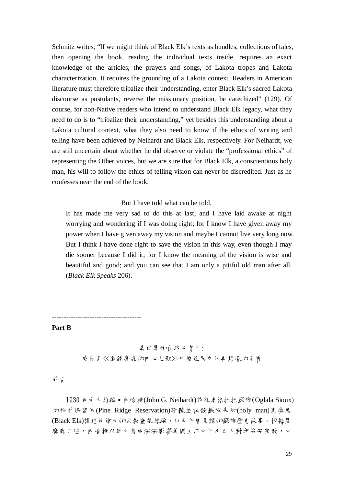Schmitz writes, "If we might think of Black Elk's texts as bundles, collections of tales, then opening the book, reading the individual texts inside, requires an exact knowledge of the articles, the prayers and songs, of Lakota tropes and Lakota characterization. It requires the grounding of a Lakota context. Readers in American literature must therefore tribalize their understanding, enter Black Elk's sacred Lakota discourse as postulants, reverse the missionary position, be catechized" (129). Of course, for non-Native readers who intend to understand Black Elk legacy, what they need to do is to "tribalize their understanding," yet besides this understanding about a Lakota cultural context, what they also need to know if the ethics of writing and telling have been achieved by Neihardt and Black Elk, respectively. For Neihardt, we are still uncertain about whether he did observe or violate the "professional ethics" of representing the Other voices, but we are sure that for Black Elk, a conscientious holy man, his will to follow the ethics of telling vision can never be discredited. Just as he confesses near the end of the book,

### But I have told what can be told.

It has made me very sad to do this at last, and I have laid awake at night worrying and wondering if I was doing right; for I know I have given away my power when I have given away my vision and maybe I cannot live very long now. But I think I have done right to save the vision in this way, even though I may die sooner because I did it; for I know the meaning of the vision is wise and beautiful and good; and you can see that I am only a pitiful old man after all. (*Black Elk Speaks* 206).

**--------------------------------------**

### **Part B**

### 異世界的自我他自化: 威爾曲<<衝鋒鏖鹿的小心之歌>>中原住民立化再想像的矛盾

前言

1930 年 d 人 約翰 • 卟 哈 特(John G. Neihardt)前 往 奧 格 拉 拉 蘇 族 (Oglala Sioux) 的松脊保留區(Pine Ridge Reservation)聆聽並記錄蘇族先知(holy man)黑糜鹿 (Black Elk)講述他偉大的宗教靈視經驗,以及所曾見證的蘇族歷史故事。根據黑 糜鹿口述,小哈特以英文寫成深深影響美國主流文化及世人對印第安宗教,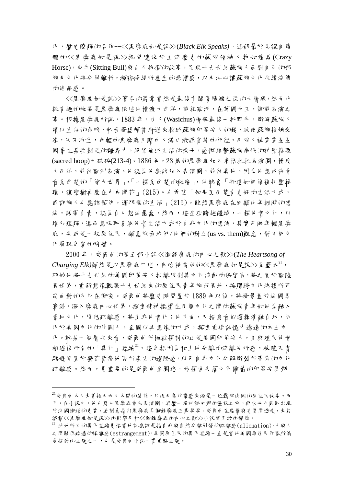化,歷史瞭解的名作--<<黑糜鹿如是說>>(*Black Elk Speaks)*。這部屬於見證自傳 體的<<黑糜鹿如是說>>揭開隱沒於主流歷史的蘇族領袖人物如應馬(Crazy Horse),坐牛(Sitting Bull)與白人抗衡的故事,呈現十九世紀蘇族人面對自己的部 族及立化將分崩離析,瀕臨減絕所產生的恐懼感,以及決心讓蘇族立化永續流傳 的使命感。

<<黑糜鹿如是說>>等名的篇章當然是最後有關傷膝濺之役的大屠殺,然而比 較有趣的故事是黑糜鹿陳述他橫渡大西洋,前往歐洲,在英國女王,御前表演之 事。根據黑糜鹿所說,1883 年,白人(Wasichus)屠殺最後一批野牛,斷絕蘇族人 賴以生 在的命脈, 私吞華威頓首府送來救助蘇族印第安人的錢, 致使蘇族挨餓受 凍,民不聊生,年輕的黑糜鹿目睹自人滿口撒謊貪婪的行徑,及族人被零零星星 圈豢在某些劃定的疆界中,絕望無助生活的樣子,感慨維繫蘇族命脈的神聖箍環 (sacred hoop)已破碎(213-4)。1886年,23歲的黑糜鹿加入奧格拉拉表演團,橫度 大西洋,前往歐洲表演。他認為他應該加入表演團,前往異地,因為他想或許看 看瓦西楚的「偉大世界」,「一探瓦西楚的秘密」,他就會「知道如何修復神聖箍 環,讓聖樹再度在中央開花」(215)。也希望「如果瓦西楚有更好的生活方式, 或許族人也應該模仿,週那樣的生活」(215)。雖然黑糜鹿在田顧他年輕時的想 法,語帶自責,認為自己想法愚蠢,然而,這企欲跨越疆域,一探他者立化,以 增加理解,進而想吸取合納他者生活方式於自我立化的想法,其實反映年輕黑糜 鹿,甚或是一般原住民,願意放棄我們/他們的對立(us vs. them)觀念,對不戶立 化展現包容的胸襟。

2000 年,威爾曲的第五部小說<<衝鋒麋鹿的內心之歌>>(*The Heartsong of*   $Charging$  Elk) 顯然是以黑糜鹿口述, 小哈特寫成的<<黑糜鹿如是說>>為藍本<sup>21</sup>, 巧妙地將十九世紀的印第安人抽離限制其立化流動的保留區,將之置於歐陸 異世界,重新想像觀照十九世紀末的原住民青年旅行異地,接觸跨文化洗禮所可 能面對的小小 社會突。威爾曲將歷史時間資於 1889 年以後,將場景貴於法國馬 賽港,深入糜鹿內心世界,探索精神擺盪在兩個文化之間的蘇族青年如何為融入 當地立化,降低疏離感,將自我他者化;他方面,又描寫看似選擇消融自我,戶 化於異國立化的外國人,企圖以再想像的方式,摸索重建記憶中遙遠的本土立 化。就某一個層次來看,威爾曲所極欲探討的正是美國印第安人,自與殖民他者 相遇後所有的「異化」經驗22,這包括因為和土地分離的流離失所感,被殖民者 驅趕安置於蠻荒貧瘠地區所產生的邊陲感,以及自身立化分解斷裂所帶來的立化 疏離感。然而,更重要的是威爾曲企圖進一步探索失落立化歸屬的印第安異鄉

-

 $^{21}$ 威爾曲本人未曾提及而立大爾的關係,只提及寫作靈感來源是一位羈旅法國的原住民故事。而 且,在小說中,他也寫入黑糜鹿參加表演團,經歷一場神識回鄉的靈視之旅,與水牛比爾同出現 於法國街頭的史實,並刻意指出黑糜鹿長衝鋒糜鹿三歲等等。威爾曲在虛構與史實間遊走,未能 減損<<黑糜鹿如是說>>>的影響及和<<衝鋒鏖鹿的Nト心之歌>>小說間互涉的關係。

 $^{22}$  此地所只的異化經驗夏恰當地說應該是指自我與自然分離引發的疏離感(alienation),人與人 之間關係疏遠的隔離感(estrangement)。美國原住民的異化經驗一直是當代美國原住民作家所偏 愛探討的主題之一,也是威爾曲小說一貫重點主題。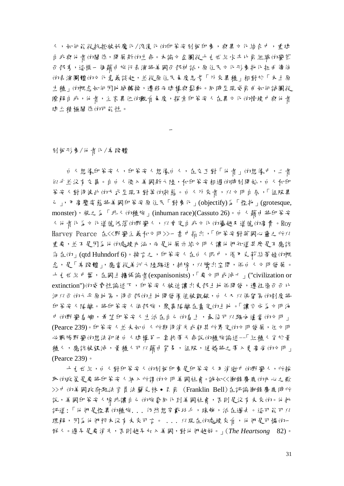人,如何能從抗拒被妖魔化/浪漫化的印第安刻板印象,與異文化結合中,重建 自我與他者的關係,開展新的生命。本論文企圖從十九世紀水牛比爾組織的蠻荒 西部秀,這樣一個藉由旅行表演將美國西部神話,原住民文化形象物化扭曲傳佈 的表演團體的文化意義談起,並從原住民角度思考「外來異種」相對於「本土原 生種」的概念如何因地域轉換,遷移而建構與鬆動。戶時呈現威爾曲如何試圖從 瞭解自我,他者,主客具位的觀看在度,探索印第安人在異立化的情境中與他者 建立積極關係的可能性。

一

刻板形象/他者化/卑賤體

白人想像印第安人,印第安人想像白人,在交互對「他者」的想像中,二者 似乎並沒有交集。自白人侵入美國新大陸,和印第安相遇的時刻開始,白人和印 第安人對待彼此的方式呈現不對等的狀態。自人外來者,以文明自居,「征服異 己」,用高壓姿態將美國印第安原住民「對象化」(objectify)為「怪物」(grotesque, monster), 視之為「非人的種族」(inhuman race)(Cassuto 26)。自人藉自將印第安 人他者化為文化道德低落的野蠻人,以肯定自我文化的優越及道德的高貴。Roy Harvey Pearce 在<<野蠻主義和文明>>一書中指出,「印第安對英國心靈之所以 重要,並不是因為他的處境內涵,而是他展示給文明人讓他們知道甚麼是不應該 存在的」(qtd Huhndorf 6)。換言之,印第安人在日人眼中,借用克莉絲蒂娃的概 念,是「卑賤體」,應當從美洲大陸驅逐,排除,以騰出空間,供白人文明發展。 十九世紀中葉,在國土擴張論者(expanisonists),「要文明或滅亡」("civilization or extinction")的威脅性論述下,印第安人被迫讓出来部土地供開發,遷往密西西比 河以西的大平原地區,待西部的土地開發價值被覬覦,白人又以保留區的制度將 印第安人隔離分裂人依部族,聚集隔離在畫定的土地。「讓它成為文明海 中的野蠻島嶼,希望印第安人生活在自己的島上,最後可以驅向適當的文明」 (Pearce 239)。印第安人並未如白人所期待消失或朝其所界定的文明發展,但文明 必戰勝野蠻的想法卻使白人建構另一套挾帶天命說的種族論述--「紅種人劣於黃 種人,應該被毀滅,黃種人可以藉由貿易,征服,通婚將之帶入更高尚的文明」 (Pearce 239)。

十九世紀,白人對印第安人的刻板印象是印第安人乃消逝中的野蠻人,所採 取 的政策是要 將印第安 人納 入 所謂 的力 明 美 國社會。誠如<<衝鋒 麋鹿 的小 心之 歌 >>中的美國政府駐法官員法蘭克林․貝爾 (Franklin Bell)在評論衝鋒麋鹿時所 說,美國印第安人除非讓自己的族裔戶化到美國社會,否則是沒有未來的。他批 評道:「他們是怪異的種族. . . 仍然想穿戴羽毛,珠飾,活在過去。這可能可以 理解, 因善 他們根本沒有未來可言。 . . . 以現在的處境來看, 他們是可憐的一 群人。遲早是要消失,否則越早加入美國,對他們越好。」(*The Heartsong* 82)。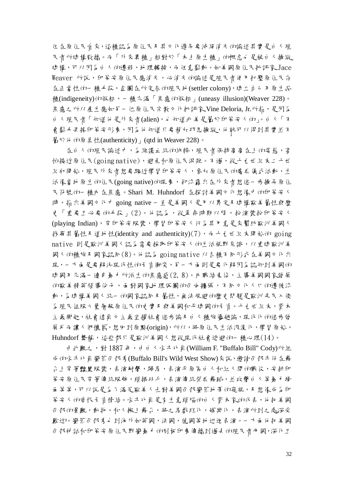但在原住民看來,這種認為原住民及其文化遲早要滅絕消失的論述其實是白人殖 民者所建構散播。而「外來異種」相對於「本土原生種」的概念也是被白人操縱 建構,可以因為白人的遷移,地理轉換,而任意鬆動。如美國原住民批評家 Jace Weaver 所說, 印第安原住民應消失, 心消失的論述是殖民者使用打壓原住民存 在正當性的一種手段,企圖在所定居的殖民地(settler colony), 建立自己万原生品 種(indigeneity)的假相,一種充滿「焦慮的假相」(uneasy illusion)(Weaver 228)。 焦慮之所以產生應如了一位原住民宗教立化批評家Vine Deloria, Jr.所指,是因為 白人殖民者「知道他是外來者(alien),也知道北美是屬於印第安人的」。白人「不 會鬆手丟掉印第安形象,因為他知道只要稍加巧思操縱,他就可以得到其實並不 屬於他的原真性(authenticity) | (qtd in Weaver 228)。

在白人的殖民論述中,為維護血統的純粹,殖民者保持高高在上的姿態,害 怕接近原住民(going native),避免和原住民混雜。不過,從十九世紀末二十世 紀初開始,殖民外來者想要驅近學習印第安人,參加原住民的慶典儀式活動,生 活像當地原生的住民(going native)的現象,卻流露出在外來者想進一步操弄原住 民符號的一種內在焦慮。Shari M. Huhndorf 在探討美國文化想像中的印第安人 時,指出美國文化中 going native - 直是美國人是用以界定及建構歐美屬性與歷 史「重要且必要的手段」(2)。他認為,從革命時期以降,扮演裝扮印第安人 (playing Indian),穿印第安服裝,學習印第安人行為其用意是來幫助歐洲美國人 找尋其屬性及道地性(identity and authenticity)(7),而十九世紀末開始的 going native 則是歐洲美國人認為需要採取印第安人的生活視野見識,以重建歐洲美 國人的種族及國家認同(8)。他認為 going native 以各種不同形式在美國文化出 現,一方面是要解決現代性的矛盾衝突,另一方面則是要化解因為認知到美國的 建國乃充滿一連串暴力所滋生的焦慮感(2,8)。內戰結束後,主導美國國家發展 的歐美精英領導份子,面對國家地理版圖的西向擴張,不同文化人口的遷徙流 動,為建構美國人統一的國家認同及屬性,無法規避的歷史問題是歐洲先民入侵 為殖民征服大量居役原因更實及與美國和平建國的矛盾。十九世紀末,資本 主義興起,社會達爾文主義宣揚社會進步論及白人種族優越論,現代化的進步發 展反而讓人們懷舊,想回到原點(origin),所以,將原住民生活浪漫化,學習原始, Huhndorf 聲稱,這些都只是歐洲美國人想從現代社會逃避的一種心理(14)。

由此觀之,對 1887 年,由白人水牛比爾(William F. "Buffalo Bill" Cody)所組 成的水牛比爾蠻荒西部秀(Buffalo Bill's Wild West Show)來說,邀請西部牛仔在舞 台上穿著豔麗服裝,表演轉馬,表演平原區自人和紅人間的戰役,安排印 第安原住民穿著傳統服飾,頭插羽毛,表演傳統祭典舞蹈,並攻擊白人等暴力場 面等等,可以說是為了滿足歐美人士對美國西部蠻荒地帶的窺視,及想像成為印 第安人的愛恨矛盾情結。水牛比爾是有生意頭腦的白人資本家的代表,他把美國 西部的景觀,動物,和人搬上舞台,將之馬戲班化,娛樂化,表演所到之處深受 歡迎。蠻荒西部秀也到海外如英國,法國,德國等地巡迴表演。一方面他把美國 西部神話和印第安原住民野蠻暴力的刻板印象傳播到過去的殖民者母國,深化且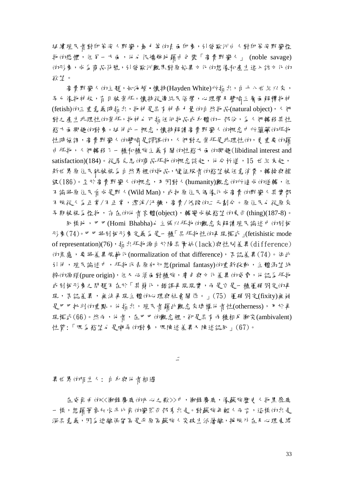延續殖民者對印第安人野蠻,暴力等的負面印象,引發歐洲白人對印第安野蠻怪 物的恐懼,但另一方面,他也很矯飾地藉由包裝「高貴野蠻人」 (noble savage) 的形象,成為商品符號,引發歐洲觀眾對原始異文化的想像和產生進入該文化的 欲望。

高貴野蠻人的主題,如海頓·懷特(Hayden White)所指出,自十八世紀以來, 早已像物神般,盲目被崇拜。懷特從傳統民俗學,心理學及譬喻三層面解釋物神 (fetish) th三重意義時指出,物神是具有神奇才量的自然物品(natural object), 人們 對之產生非理性的崇拜,物神也可指任何物品或身體的一部份,為人們轉移其性 慾方面興趣的對象。延伸此一概念,懷特解讀高貴野蠻人的概念中所蘊藏的拜物 性時強調,高貴野蠻人的譬喻是謬誤的,人們對之崇拜是非理性的,更重要的藉 由拜物,人們轉移了一種和種族主義有關的性慾方面的興趣(libidinal interest and satisfaction)(184)。從馬克思的商品拜物的概念談起,他分析道,15 世紀末起, 新世界原住民就被視為自然界裡的物品,隨征服者的慾望被任意消費,轉換與摧 録(186)。至於高貴野蠻人的概念,乃因對人(humanity)觀念的所造成的逆轉,但 不論將原住民看成是野人(Wild Man),或把原住民偶像化成高貴的野蠻人其實都 不脫從人為正常/不正常,潔淨/汙穢,高貴/低賤的二元劃分。原住民也從原來 早期被視為怪物,存在的他者客體(object),轉變成被慾望的東西(thing)(187-8)。

同樣地,巴巴(Homi Bhabha)也主張以拜物的觀念來解讀殖民論述中的刻板 形象(74)。巴巴將刻板形象定義為是一種「具拜物性的再現模式」(fetishistic mode of representation)(76),指出拜物源自於陽具匱缺(lack)與性別差異(difference) 的焦慮,要將差異規範化(normalization of that difference),否認差異(74)。依此 引伸,殖民論述中,拜物代表原初幻想(primal fantasy)的重新啟動,主體渴望純 粹的源頭(pure origin),但又必須面對種族,膚色與文化差異的威脅,他認為拜物 或刻板形象之問題不在於「其簡化,錯誤再現現實,而是它是一種僵硬固定的再 現,, 否認差異,無法再現主體的心理與社會關係。」(75) 僵碩固定(fixity)無疑 是巴巴批判的重點。他指出,殖民者藉此觀念來建構他者性(otherness),用於再 現模式 $(66)$ 。然而,他者,在巴巴的觀念裡,卻是具有而種相反衝突(ambivalent) 性質:「既為慾望d 是嘲弄的對象,既陳述差異又陳述認戶」(67)。

二

異世界的陌生人: 自身與他者相遇

在威爾曲 thK<衝鋒鏖鹿 thnト心之歌>>中,衝鋒鏖鹿,像蘇族歷史人物黑靡鹿 一樣,想藉著參加水牛比爾的蠻荒西部秀出走。對蘇族年輕人而言,這樣的出走 深具意義,因為逃離保留區是平原區蘇族人突破生活籓離,採脫外在及心理束縛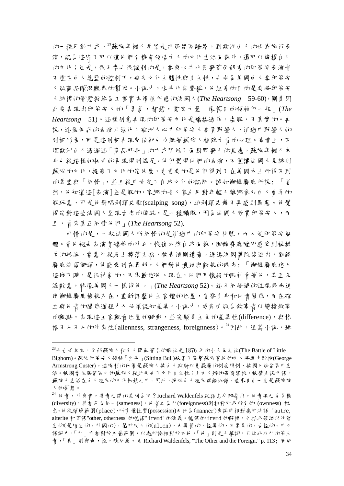的一種反動方式。<sup>23</sup>蘇族年輕人希望走出保留區疆界,到歐洲白人的世界旅行表 演,認為這除了可以讓他們有機會領略自人的立化生活面貌外,還可以傳揚自己 的立化;但是,很不幸也很諷刺的是,参与水牛比爾蠻荒西部秀的印第安表演者 不僅在白人總監的控制下,喪失文化主體性與自主性,也成為美國白人拿印第安 人做商品矇混觀眾的幫兒。小說中,水牛比爾聲稱,他組秀的目的是要將印第安 人純樸的智慧教給為工業資本價值所惑的法國人(*The Heartsong* 59-60),團員因 此要表現出印第安人的「勇氣,智慧,寬宏大量--像舊日的領袖們一般」(*The Heartsong* 51)。這樣刻意再現的印第安文化是矯揉造作,虛假,不真實的。再 說,這樣板式的表演只強化了歐洲人心中印第安人高貴野蠻人,消逝中野蠻人的 刻板形象,可是這刻板再現背後卻也夾雜著蘇族人複雜矛盾的心理。事實上, 僅歐洲白人透過這「商品拜物」的方式降低了面對野蠻人的焦慮,蘇族年輕人本 身也從這樣的扭曲的再現得到滿足。他們覺得他們的表演,不僅讓法國人見識到 蘇族的立化,提高了立化的能見度,更重要的是他們得到了在美國本土所得不到 的尊重與「同情」,並且從中肯定了自我文化的認同。誠如衝鋒麋鹿所說: 「當 然, 他知道這[表演]全是假的, 家鄉的老人家也反對年輕人離鄉參加自人賣弄的 假玩意,可是他對唱剝頭皮歌(scalping song),跳剝頭皮舞不再感到罪惡。他覺 得能對這些法國人呈現古老的傳統,是一種驕傲,因為法國人欣賞印第安人,而 且,看來真正同情他們」(*The Heartsong* 52).

可惜的是,一般法國人所戶情的是消逝中的印第安符號,而不是印第安偶 體。當他褪去表演者矯飾的人衣,恢復本然自我面貌,衝鋒鏖鹿隨即感受到被排 斥的孤寂。當意外從馬上摔落生病,被表演團遺棄,送進法國醫院後逃出,衝鋒 麋鹿流落街頭,他感受到在異邦,人們對他懷疑與敵視的眼光: 「衝鋒麋鹿進入 這城市時,是很神棄的,民眾歡迎他。現在,他們用懷疑的眼神看著他,其至充 滿敵意,就像美國人一樣待他。」(*The Heartsong* 52)。這不同場域的注視眼光迫 使衝鋒慶應檢視心 在,重新講整他主客體的位置,当察自身和他者關係,而在確 立與他者的關係過程中又必須認知差異。小說中,威爾曲做為敘事者以變換敘事 的觀點,表現這主客觀看位置的跳動,並突顯男主角的差異性(difference),與格 格不入不入的外來性(alienness, strangeness, foreignness)。<sup>24</sup>因此,通篇小說,雖

 $23 + 1$  世紀末, 西部蘇族人和白人間最著名的戰役是 1876年的小大事之役(The Battle of Little Bighorn)。蘇族印第安人領袖「坐牛」(Sitting Bull)殺害了突擊蘇族營地的白人將軍卡斯特(George Armstrong Custer)。這勝利的代價是蘇族人被白人政府以更嚴厲的制度限制,被圈入保留區中生 活。被圈豢在保留區中的蘇族人從此失去了文化自主性;上白人辦的寄宿學校,被禁止說母語, 蘇族人生活在白人殖民的機工中。因此,摔脫白人殖民禁錮枷鎖,追求自由一直是蘇族族 人的夢想。

 $^{24}$  他 者, 外來者,異者之間的差別為何? Richard Waldenfels 從語意分辨指出, 他者視之為多樣 (diversity),其相反為同一(sameness),他者之為外(foreignness)則相對於我所有的 (ownness) 概 念。他從領域範圍(place),所有權性質(possession)及行為(manner)來說明相對應於法語 "autre, alterite 和英語"other, otherness"的德語"fremd"的涵義。德語的 fremd 的解釋,包括我領域以外發 生的(是陌生的,外國的),屬於別人的(alien),及異質的,怪異的,不常見的,古怪的。中立 語詞中,「外」亦相對於內屬範圍,以處所論相對於本地,「他」則是人稱詞,只你我以外的第三 者,「異」則與奇,怪,殊戶義。見 Richard Waldenfels, "The Other and the Foreign." p. 113; 周何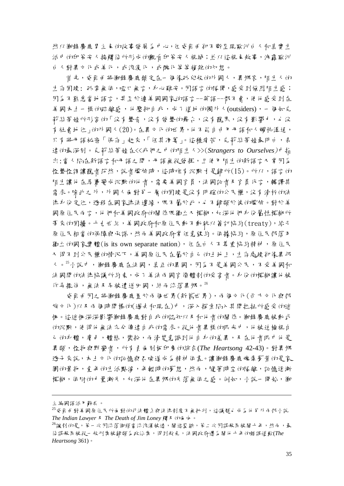然以衝鋒鏖鹿男主角的故事發展為中心,但威爾由卻不斷呈現歐洲日人和真實生 活中的印第安人接觸後所形成的觀看印第安人視域;並以這視角敘事,洩露歐洲 白人對異立化或美化,或浪漫化,或醜化等等複雜的幻想。

首先,威爾曲將衝鋒鏖鹿鎖定在一個像孤兒般的外國人,異鄉客,陌生人的 生存困境: 孤零無依,啞口無言,身心難安。因語言的隔閡,感受到強烈陌生感; 因為不熟悉當地語言,甚至於連美國國家的語言--英語--都不會,使他感受到在 美國本土一樣的疏離感,他壓抑自我,成了道地的圈外人(outsiders),一個如克 莉絲蒂娃所形容的「沒有聲音,沒有發聲的舞台,沒有聽眾,沒有影響力,也沒 有社會地位」的外國人(20)。在異文化的世界,他不能自由用母語和人暢快溝通, 只有將母語祕密「保存」起來,「任其凊萎」。這種痛苦, 克莉絲蒂娃最明日, 表 達的最深刻。克莉絲蒂娃在<<我們之中的陌生人>>(*Strangers to Ourselves*)中指 出:當人陷在新語言和母語之間,母語無從發揮,且使用陌生的新語言人常因為 怪聲怪誹讓聽者茫然,說者擺尬時,這時唯有沉默才是歸所(15)。所以,語言的 陌生讓他在馬賽變成沉默的他者,需要美國官員,法國記者及官員代言,轉譯其 需求。除此之外,外國人面對另一層的困境是沒有明確的公民權,沒有清析的法 律身份定位,遊移在國家律法邊緣,既不屬於此,也不歸類於彼的檻於。對於美 國原住民而言,他們和美國政府的關係既獨立人模糊,加深他們身份屬性模糊所 帶來的困擾。十九世紀,美國政府和原住民動不動就以簽訂協約(treaty),給予 原住民相當的保障承諾,然而美國政府常任意毀約。依據協約,原住民部落方 獨立的國家實體(is its own separate nation),但在白人不尊重協約精神,原住民 又得不到公民權的情況下,美國原住民在屬於自己的土地上,生存處境卻像異邦 人。 $^{25}$ 小說中, 衝鋒鏖鹿在法國, 真正的異國, 因為不是美國公民, 不受美國和 法國間的法律協議所約束,成了美法兩國官僚體制的受害者。身份的模糊讓他被 作弄擺佈,無法及早被遣送田國,終而流落異鄉。26

威爾曲 因之將衝鋒 鏖鹿 貴於而 侮世界(新舊世界),而 侮う化(承方)化 與部 族立化)以及兩個時間標的(過去和現在)中,深入探索陷入其間拉扯所感受的迷 惘。這迷惘深深影響衝鋒麋鹿對自我的認知以及和他者的關係。衝鋒麋鹿被動式 的沉默,使得他無法充分傳達自我的需求。從他者異樣的眼光中,他被迫檢視自 己 的身體, 膚色,體格, 裝扮, 而清楚意識到他自身的差異, 及在他者眼中他是 異類,怪物與野蠻者,所有負面刻板印象的綜合(*The Heartsong* 42-43)。對異鄉 遊子來說,本土立化的記憶與召喚遂成為精神依靠。讓衝鋒靡鹿魂牽夢紫的是家 園的景物,童年的生活點滴,年輕時的夢想,然而,隨著時空的隔離,記憶逐漸 模糊,依附的力量漸失,加深他在異鄉的失落無依之感。例如,小說一開始,衝

主編國語活用辭典。

<sup>25</sup>威爾曲對美國原住民所面對的司法體系與法律制度不無批判,這議題也成為他另外兩部小說 **The Indian Lawyer** *R* The Death of Jim Loney 觸 *R* th通 巾。

<sup>26</sup>諷刺的是,第一次因流落街頭當流浪漢被逮,關進監獄,第二次因謀殺罪被關十年,然而,最 後謀殺罪被從一般刑案被歸類為政治案,得到赦免,法國政府還為關他十年的錯誤道歉(*The Heartsong* 361)。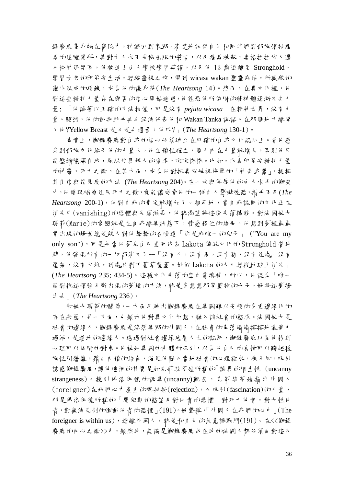鋒靡鹿隻 身躺在醫院中,神識田到家鄉,清楚地記得自己和同伴們對部族領袖應 馬的追隨崇拜,其對白人永不妥協屈服的誓言,以及應馬被殺,奧格拉拉族人遷 入松脊保留區,他被迫上自人學校學習英語,以及他 13 歲逃離至 Stronghold, 學習古老的印第安生活,經驗靈視之旅,得到 wicasa wakan 聖靈庇估,所獵殺的 權爪做成的項鍊,成為他的護身符(The Heartsong 14)。然而,在異立化裡,他 對這些精神力量存在與否的信心開始迷惑,他徨恐他所依附的精神體逐漸失去力 量: 「他試著以正確的方法抽煙,可是沒有 *pejuta wicasa*--在精神世界,沒有力 量。顯然, 他 的動物助手再也 沒法代表 他 和 Wakan Tanka 說話。在那個地方離開 了他?Yellow Breast 是不是也遺棄了他呢?」(*The Heartsong* 130-1)。

事實上, 衝鋒鏖鹿對自我的信心必須建立在明確的自我文化認同上。當他感 受到部族立化給予他的才量大,他主體性確立,個人必在才量就增長,否則他只 能壓縮隱藏自我,屈服於異邦人的索求,唯唯諾諾。比如,代表印第安精神才量 的神靈,死亡之歌,在某方面,成為他對抗異族岐視侮辱的「神奇武器」,提振 其自信與能見度的方法 (*The Heartsong* 204)。在一次與侮辱他的白人水手的衝突 中,他發現唱原住民死亡之歌,竟能讓威脅他的一群白人驚嚇徨恐,措手不及(*The*  Heartsong 200-1), 他對自我的肯定就增加了。相反地,當自我認戶的文化正在 消失中(vanishing)的恐懼與失落滋長,他就渴望將這份失落轉移。對法國妓女 瑪莉(Marie)的愛戀就是在自我離異狀態下,情感移位的結果。他想到夢裡最最 常出現的場景總是親人對他聲聲的召喚道「你是我唯一的兒子」 ("You are my only son"),可是每當他夢見自己重回代表 Lakota 傳統文化的 Stronghold 營地 時, 他發現所有的一切都消失了--「沒有人, 沒有馬, 沒有狗, 沒有住處。沒有 篷架,沒有火堆,到處只剩下蔓草覆蓋。好似 Lakota 的人已經從地球上消失」 (*The Heartsong* 235; 434-5)。這種文化失落的空白需填補,所以,他認為「唯一 能對抗這頑強不斷出現的夢境的方法,就是多想想那穿藍袍的女子,好將這夢擠 出去」(*The Heartsong* 236)。

和妓女瑪莉的關係,一方面反映出衝鋒麋鹿在異國難以安頓的多重邊緣化的 存在狀態,另一方面,也顯示他對異立化幻想,融入該社會的慾求。法國妓女是 社會的邊緣人,衝鋒鏖鹿是流落異鄉的外國人,在社會的自落偷偷摸摸地靠勞才 過活,是道地的邊緣人。透過對社會邊緣底層人士的認同,衝鋒鏖鹿以為他找到 心理可以依附的對象。他被她異國的「體所吸引,以為他自己的真情可以跨越種 族性別籓籬, 藉日 附體的結合, 滿足他融入當地社會的心理欲求, 殊不知, 吸引 誘惑衝鋒麋鹿,讓他迷惘的其實是如克莉絲蒂娃所稱的「詭異的陌生性」(uncanny strangeness)。援引佛洛伊德的詭異(uncanny)觀念, 克莉絲蒂娃指出外國人 (foreigner)在我們心中產生的既排拒(rejection),又吸引(fascination)的才量, 那是佛洛伊德所稱的「嬰兒期的慾望及對他者的恐懼--對死亡他者,對女性他 者,對無法克制的衝動他者的恐懼」(191)。她聲稱,「外國人在我們的心中」(The foreigner is within us), 逃離外國人,就是和自己的無意識戰鬥(191)。在<<衝鋒 麋鹿的內心之歌>>中,顯然地,無論是衝鋒麋鹿或在地的法國人都必須面對這內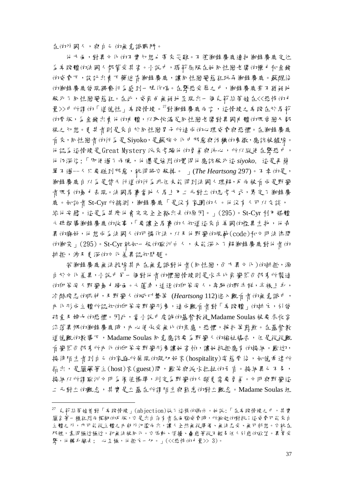在的外國人,與自己的無意識戰鬥。

他方面,對異文化的不實幻想也帶來災難。不僅衝鋒麋鹿連把衝鋒麋鹿定位 為卑賤體的法國人都蒙受其害。小說中,瑪莉屈服在她同性戀老闆的權力和金錢 的威脅下,設計出賣下藥迷昏衝鋒麋鹿,讓同性戀變態狂玩弄衝鋒麋鹿。蘇醒後 的衝鋒麋鹿發現猥褻行為感到一陣作嘔。在驚恐受辱之中,衝鋒麋鹿毫不猶疑地 殺死了戶性戀變態狂。在此,威爾由無疑地呈現出一個克莉絲蒂娃在<<恐怖的力 量>>中所謂的「道德性」卑賤情境。<sup>27</sup>對衝鋒麋鹿而言,這情境之卑賤在於馬莉 的背叛,為金錢出賣他的肉體,以取悅滿足同性戀老闆對異國的體的既愛戀又鄙 視之幻想。夏甚者則是來自於戶性戀男子所造成的心理威脅與恐懼。在衝鋒鏖鹿 看來,同性戀者的行為是 Siyoko,是蘇族文化中邪惡與污穢的象徵,應該被鏟除。 他認為這情境是 Great Mystery 派來考驗他的勇氣與決心,所以縱使在驚恐中, 他仍深信:「即使過了兩晚,他還是強烈的覺得他應該殺死這 *siyoko*. 這是再簡 單不過--人只要碰到邪惡,就得將它殺掉。 」(*The Heartsong* 297)。不幸的是, 衝鋒鏖鹿自以為是替天行道的行為非但未能得到法國人理解,反而被看成是野蠻 者既有的暴力表現。法國馬賽當地人馬上用二元對立的思考方式,界定了衝鋒麋 鹿。如記者 St-Cyr 所揣測, 衝鋒鏖鹿「是沒有家園的人。他沒有人可以交談, 給他安慰。這是為甚麼他會完完全全豁出去的原因。」(295)。St-Cyr 利用媒體 大肆報導衝鋒鏖鹿的故事,「要讓全馬賽的人知道這來自美國的怪異生物,他奇 異的癖好,他想成為法國人的可憐作法,以及他野蠻的規範(code)和文明法律間 的衝突」(295)。St-Cyr 就如一般的歐洲白人,未能深入了解衝鋒麋鹿對他者的 排拒,涉及更深的文化差異認知問題。

若衝鋒麝鹿無法拔除其小在無意識對他者(戶性戀,可方異立化)的排拒,源 自於立化差異,小說中另一個對他者的懼戀情境則是水牛比爾變荒西部秀所製造 的印第安人野蠻暴力場面。大蓬車,追逐的印第安人,奔馳的野牛群,半裸上身, 冷酷殘忍的眼神,及野蠻人的吼叫聲等 (*Heartsong* 112)進入觀看者的無意識中, 內化形成主體所認知的印第安野蠻形象,造成觀看者對「卑賤體」的排斥,引發 孩童及婦女的恐懼。因此,當小說中虔誠的基督教徒 Madame Soulas 被要求收容 流落異鄉的衝鋒鏖鹿時,內心便承受無比的焦慮,恐懼,择扎等煎熬。在基督教 道德觀的教導下,Madame Soulas 同意應該要為野蠻人的福祉禱告,但是從從觀 首 蠻荒 邵 部 秀 所 A 出印第安野 蠻形象讓她 害 怕,讓她 抗拒應有 的接 \$P。歡迎, 接待陌生者到自己的家庭所展現的親切好客(hospitality)姿態背後,如德希達所 指出,是蘊藏著主(host)客(guest)間,歡笑與淚水拉扯的矛盾。接納異己不易, 接納以所謂歐洲文明為價值標準,判定為野蠻的人類更需要勇棄。立明與野蠻這 二元對立的觀念,其實是立基在所謂陌生與熟悉的對立觀念。Madame Soulas 坦

 $^{27}$  克莉絲蒂娃曾對「耳賤情境」(abjection)做了這樣的揭示。她說:「在耳賤情境之中,其實 蘊含著一種狂烈而模糊的反叛,它是出自存有者在面臨威脅時,所激起的對抗;這威脅可能來自 主體之外,亦可能從主體之內朝外氾濫而出,讓人全然無從準備、無法忍受、無可料想。它就在 那裡,靠得極近極近,卻無法被同化。它煽動、煩擾、蠱惑著從不輕易任人引惑的欲望。異常受 驚,他轉身離去; 心至極,他拒斥一切。」(<<恐怖的才量>> 3)。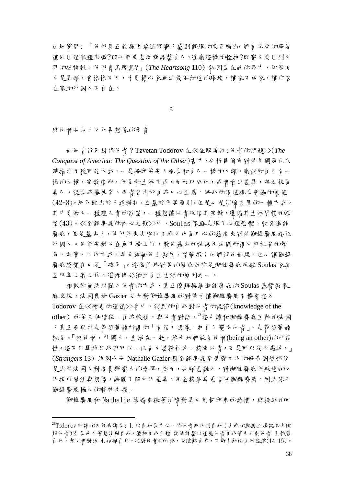白地質問: 「他們真正能提供給這野蠻人感到舒服的東西嗎?他們有充分的準備 讓他住進家裡來嗎?孩子們要怎麼樣誹整自己,這應這樣的怪物?野蠻人要住到立 明的社群裡,他們會怎麼想?」(*The Heartsong* 110) 就因為在她的眼中,印第安 人是異類,會格格不入,才更擔心家無法提供舒適的環境,讓家不成家,讓作客 在家的外國人不自在。

三

與他者共存,文化再想像的矛盾

<u>.</u>

如何看待及對待他者?Tzvetan Todorov 在<<征服美洲:他者的問題>>(*The Conquest of America: The Question of the Other*)書中,分析哥倫布對待美國原住民 時指出兩種可能方式,一是將印第安人視為和自己一樣的人類,應該和自己有一 樣的人權,宗教信仰,行為和生活方式,而加以戶化,或者看出差異,將之視為 異己,認為我優彼劣。而者皆出於自我中心主義,將我的價值視為普遍的價值 (42-3)。同化雖出於人道精神,立基於平等原則,但是也是消除差異的一種方式。 其中更涉及一種殖民者的欲望,一種想讓他者改信其宗教,遵循其生活習慣的欲 望(43)。<<衝鋒鏖鹿的IN 心之歌>>中,Soulas 家庭克服了心理恐懼,收容衝鋒 廉鹿,但是基本上,他們並未去除以自我立化為中心的態度來對待衝鋒鏖鹿這位 外國人。他們安排他在魚市場工作,教他基本的法語及法國所謂立明社會的飲 食,衣著,工作方式,甚而鼓勵他上教堂,望彌撒;他們待他如親,但也讓衝鋒 麋鹿感覺自己是「孩子」。這樣並非對等的關係或許是衝鋒麋鹿脫離 Soulas 家庭 至肥皂工廠工作,選擇開始獨立自主生活的原因之一。

相較於無法以融入他者的方式,真正瞭解接納衝鋒鏖鹿的 Soulas 基督教家 庭來說,法國農場 Gazier 父女對衝鋒麋鹿的對待才讓衝鋒麋鹿有機會進入 Todorov 在<<歷史的道德>>書中,談到的自我對他者的認識(knowledge of the other) 的第三個階段--自我恢復,與他者對話。<sup>28</sup>這也讓和衝鋒麝鹿互動的法國 人真正表現出克莉絲蒂娃所謂的「有能力想像,把自己變成他者」。克莉絲蒂娃 認為,「與他者,外國人,生活在一起,給予我們做為他者(being an other)的可能 性。這不只單純只我們可以--很有人道精神地--接受他者,而是可以設身處地。」 (*Strangers* 13) 法國女子 Nathalie Gazier 對衝鋒麋鹿背景與文化的好奇固然部份 是出於法國人對高貴野蠻人的崇拜,然而,她願意融入,對衝鋒麋鹿所敘述的 化投以關注與想像,試圖了解立化差異,完全接納尊重信任衝鋒麝鹿,因此給予 衝鋒麋鹿極大的精神支援。

衝鋒麋鹿和 Nathalie 結婚象徵著消除對異己刻板印象的恐懼,與接納的可

 $^{28}$ Todorov 所謂的四個步驟第: 1. 以自我善中心, 將他者戶化到自我 (日我的觀點立場認知去瞭 解他者) 2.為他人著想消融自我,壓抑自我主體 設法調整以適應他者自我消失只剩他者 3.恢復 自我,與他者對話 4.抽離自我,從對他者的知識,來瞭解自我,不斷有新的自我認識(14-15)。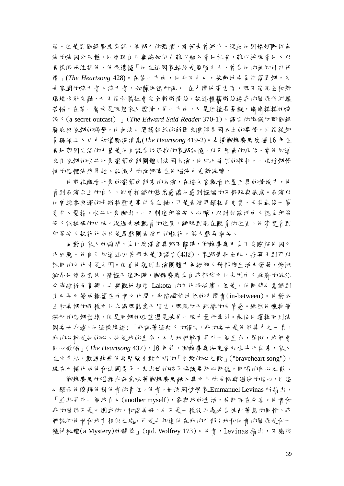能。但是對衝鋒鏖鹿來說,異鄉人的恐懼, 痛苦未曾減少。縱使他因婚姻取得合 法的法國公民權,他發現自己無論如何也難以融入當地社會,難以採脫當地人以 異樣眼光注視他,他很遺憾「他在這國家始終是個陌生人,曾為他的無知付出代 **價」(The Heartsong 428)。在某一方面,他身不自己,被動地成為流落異鄉,失** 去家園的流亡者。流亡者,如薩伊德所說,「在中間地帶生存,既不能完全和新 環境水乳交融,又不能和舊所主義所有所情緒,被這種藕斷絲連式的關係所糾纏 苦惱, 在某一層次是既想家人 濫情, 了一方面, 又是位擅長摹擬, 偷偷摸摸的流 浪人(a secret outcast) 」(*The Edward Said Reader* 370-1)。語言的障礙切斷衝鋒 麋鹿與家鄉的聯繫,他無法由閱讀報紙的新聞來瞭解美國本土的事情,只能從卸 貨碼頭ユ L ロ 中 知道 點瀋 消息(*The Heartsong* 419-2)。丈 撐 衝鋒 鏖 鹿 度 週 16 年 在 異地艱困生活的才量是他自認為仍保持的家鄉記憶,以及聖靈的庇佑。當他知道 來自家鄉的水牛比爾蠻荒西部團體到法國表演,他陷入痛苦的样扎,一股近鄉情 怯的恐懼油然昇起。記憶中的故鄉事在他腦海中重新洗牌。

他前往觀看比爾的蠻荒西部秀的表演,在這主客觀看位置互異的情境中,他 看到表演台上的自己,似曾相識的熟悉感讓他感到極端的不舒服與厭惡。表演以 他曾經參與過的卡斯特歷史事件為主軸,可是表演明顯扭曲史實,尤其最後一幕 更令人髮指。水牛比爾衝出,一刀刺進印第安人心臟,以討好歐洲白人認為印第 安人該被殺的口味。從過去被觀看的位置,跳脫到現在觀看的位置,他清楚看到 印第安人被物化成只是馬戲團表演中的怪物,供人戲弄嘲笑。

面 對自 家人 的詞 問, 为 什 麼 滯 胃 鄉 不 歸 時 ,衝 磨 磨 鹿 庸 為 了 要 瞭 解 他 國 立 化田應。他自己 知道這田答根本是倡謊言(432)。家鄉景物全非,找壽不到可以 認戶的文化才是主因。但當他聽到表演團體中年輕族人對部族生活及發展,慷慨 激昂地發表意見,積極又進取時,衝鋒麋鹿為自我部族文化未因白人政府的統治 分崩離析而高興,也樂觀地相信 Lakota 的~ 化將延續, 但是, 他后時也意識到 自己早已變成擺盪在兩者文化間,身陷尷尬地位的中間者(in-between)。他對本 土和異鄉的兩種文化充滿既熟悉又陌生,既親切又疏離的矛盾感。雖然他懷抱著 深切的思鄉愁緒,但是回鄉的欲望還是被另一股才量所牽引。最後他選擇田到法 國妻子身邊。他這樣陳述: 「我說著這些人的語言,我的妻子是他們其中之一員, 我的心就是她的心。她是我的生命,不久我們就有了外一個生命,居時,我們會 同心歌唱」(*The Heartsong* 437)。16 年前,衝鋒麋鹿決定參加水牛比爾秀,家人 在火車站,歡送鼓舞他要堅強勇敢所唱的「勇敢的心之歌」("braveheart song"), 現在已轉化成他行法國妻子,未出世的孩子協議要戶心戶德,戶唱的小心之歌。

衝鋒麝鹿的選擇或許意呼鋒麝鹿融入異立化的妥協與過份的信心,但這 d 顯示他瞭解他對他者的責任。他者,如法國哲學家 Emmanuel Levinas 所指出, 「並非另外一個我自己(another myself),參與我的生活,共同存在分享。他者和 我的關係不是田園式的,和諧美好,也不是一種設身處地為彼此著想的同情。我 們認知他者和我有相似之處,可是也知道他在我的外部;我和他者的關係是和一 種神秘體(a Mystery)的關係」(qtd. Wolfrey 173)。 ht 者,Levinas 指出,不應該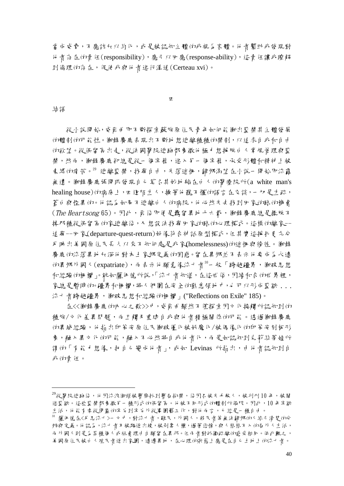當成威脅,不應該加以約化,或是被認知主體的我視為案體。他者幫助我發現對 他者存在的責任(responsibility),應予以回應(response-ability),這責任讓我瞭解 到倫理的存在,促使我與他者進行溝通(Certeau xvi)。

四

#### 結語

-

從小說開始,威爾曲即不斷探索蘇族原住民青年如何能衝出監禁其主體發展 的體制的可能性。衝鋒麋鹿表現出不斷地想逃離種種的禁制,以追求自我和自由 的欲望。從保留區出走,從法國醫院逃跑都象徵他極力想掙脫白人常規管理與監 禁,然而,衝鋒鏖鹿卻總是從一個牢籠,進入另一個牢籠,承受形體和精神上被 束縛的痛苦。29 逃離監禁,找壽自自,失落迷惟,歸鄉渴望在小說一開始即流露 無遺。衝鋒麋鹿張開眼發現自己莫名其妙地躺在白人的醫療院所(a white man's healing house)的病床上, 四進陌生人, 操著他聽不懂的語言在交談, 一切是生疏, 蒼白與怪異的。他認為如果不逃離自人的病院,他必然失去找到田家的路的機會  $(The \textit{Heartson}$ g 65)。因此, 那 後即便是 羈留異地十六載, 衝鋒 鏖鹿總是 擺脫不 掉那種從保留區的家逃離後,又想設法找尋回家的路的心理模式。這樣的離家-- 追尋--回家(departure-quest-return)好像符合神話原型模式,但其實這掙扎更充分 反映出美國原住民長久以來不知何處是我家(homelessness)的迷惘與徬徨。衝鋒 麋鹿的流落異地加深他對本土家鄉定義的困惑。留在異鄉並不表示他要成為永遠 th異鄉外國人(expatriate),而表示他願意像流亡者30一般「跨越疆界,衝破思想 和經驗的柵欄」。就如薩伊德所說,「流亡者知道,在這世俗,因緣和合的世界裡, 家總是暫時的。疆界和柵欄,將人們圍在安全的熟悉領地中,也可以形成監獄 ... 流亡者跨越疆界,衝破思想和經驗的柵欄」("Reflections on Exile" 185)。

在<<衝鋒鏖鹿的N 心之歌>>>中,威爾曲顯然不僅探索因立化接觸所認知到的 種族/文化差異問題,而且觸及重建自我與他者積極關係的可能。透過衝鋒麋鹿 的異域經驗,他指出印第安原住民衝破僵化被妖魔化/被偶像化的印第安刻板形 象,融入異立化的可能,融入不必然將自我他者化,而是如認知到克莉絲蒂娃所 謂的「有能力想像,把自己變成他者」,或如 Levinas 所指出,由他者認知到自 我的責任。

 $^{29}$ 從醫院逃跑後,他因流浪街頭被警察抓到警局拘禁,後因召妓失手殺人,被判刑 10 年,被關 進監獄。這些監禁都象徵另一種形式的保留區。他被不同形式的體制所侷限。因此,10 年牢獄 生活,他能有幸從閉塞的牢房到牢房外從事園藝工作,對他而言,已經是一種自由。

<sup>30</sup> 薩伊德在<反思流亡>一文中,對流亡者,難民,外國人,移民者等無法歸鄉的人給予清楚的分 辨與定義。 他認為,流亡者乃被驅逐出境,被剝奪人權,過著悲慘,與人格格不入的局外人生活, 而外國人則是為某種個人或社會理由自願留在異邦。但而者對孤獨疏離的感受相戶。依此觀之, 美國原住民被白人殖民者逐日,遠遠異地,在心理的狀態上應是在自己土地上的流亡者。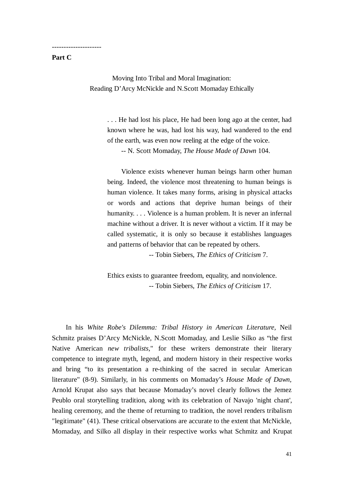#### **Part C**

---------------------

Moving Into Tribal and Moral Imagination: Reading D'Arcy McNickle and N.Scott Momaday Ethically

> . . . He had lost his place, He had been long ago at the center, had known where he was, had lost his way, had wandered to the end of the earth, was even now reeling at the edge of the voice.

-- N. Scott Momaday, *The House Made of Dawn* 104.

Violence exists whenever human beings harm other human being. Indeed, the violence most threatening to human beings is human violence. It takes many forms, arising in physical attacks or words and actions that deprive human beings of their humanity. . . . Violence is a human problem. It is never an infernal machine without a driver. It is never without a victim. If it may be called systematic, it is only so because it establishes languages and patterns of behavior that can be repeated by others.

-- Tobin Siebers, *The Ethics of Criticism* 7.

Ethics exists to guarantee freedom, equality, and nonviolence. -- Tobin Siebers, *The Ethics of Criticism* 17.

In his *White Robe's Dilemma: Tribal History in American Literature,* Neil Schmitz praises D'Arcy McNickle, N.Scott Momaday, and Leslie Silko as "the first Native American *new tribalists,*" for these writers demonstrate their literary competence to integrate myth, legend, and modern history in their respective works and bring "to its presentation a re-thinking of the sacred in secular American literature" (8-9). Similarly, in his comments on Momaday's *House Made of Dawn,*  Arnold Krupat also says that because Momaday's novel clearly follows the Jemez Peublo oral storytelling tradition, along with its celebration of Navajo 'night chant', healing ceremony, and the theme of returning to tradition, the novel renders tribalism "legitimate" (41). These critical observations are accurate to the extent that McNickle, Momaday, and Silko all display in their respective works what Schmitz and Krupat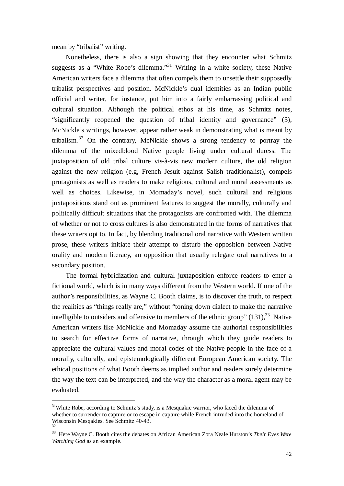mean by "tribalist" writing.

<u>.</u>

Nonetheless, there is also a sign showing that they encounter what Schmitz suggests as a "White Robe's dilemma."<sup>31</sup> Writing in a white society, these Native American writers face a dilemma that often compels them to unsettle their supposedly tribalist perspectives and position. McNickle's dual identities as an Indian public official and writer, for instance, put him into a fairly embarrassing political and cultural situation. Although the political ethos at his time, as Schmitz notes, "significantly reopened the question of tribal identity and governance" (3), McNickle's writings, however, appear rather weak in demonstrating what is meant by tribalism.<sup>32</sup> On the contrary, McNickle shows a strong tendency to portray the dilemma of the mixedblood Native people living under cultural duress. The juxtaposition of old tribal culture vis-à-vis new modern culture, the old religion against the new religion (e.g, French Jesuit against Salish traditionalist), compels protagonists as well as readers to make religious, cultural and moral assessments as well as choices. Likewise, in Momaday's novel, such cultural and religious juxtapositions stand out as prominent features to suggest the morally, culturally and politically difficult situations that the protagonists are confronted with. The dilemma of whether or not to cross cultures is also demonstrated in the forms of narratives that these writers opt to. In fact, by blending traditional oral narrative with Western written prose, these writers initiate their attempt to disturb the opposition between Native orality and modern literacy, an opposition that usually relegate oral narratives to a secondary position.

The formal hybridization and cultural juxtaposition enforce readers to enter a fictional world, which is in many ways different from the Western world. If one of the author's responsibilities, as Wayne C. Booth claims, is to discover the truth, to respect the realities as "things really are," without "toning down dialect to make the narrative intelligible to outsiders and offensive to members of the ethnic group"  $(131)$ ,<sup>33</sup> Native American writers like McNickle and Momaday assume the authorial responsibilities to search for effective forms of narrative, through which they guide readers to appreciate the cultural values and moral codes of the Native people in the face of a morally, culturally, and epistemologically different European American society. The ethical positions of what Booth deems as implied author and readers surely determine the way the text can be interpreted, and the way the character as a moral agent may be evaluated.

 $31$ White Robe, according to Schmitz's study, is a Mesquakie warrior, who faced the dilemma of whether to surrender to capture or to escape in capture while French intruded into the homeland of Wisconsin Mesqakies. See Schmitz 40-43. 32

<sup>33</sup> Here Wayne C. Booth cites the debates on African American Zora Neale Hurston's *Their Eyes Were Watching God* as an example.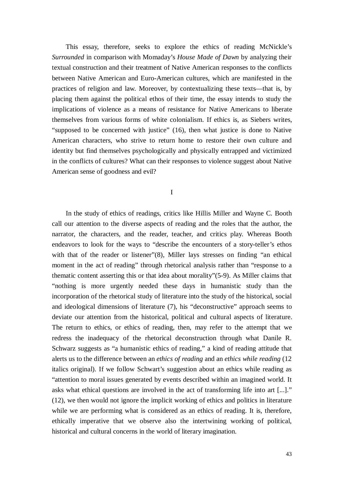This essay, therefore, seeks to explore the ethics of reading McNickle's *Surrounded* in comparison with Momaday's *House Made of Dawn* by analyzing their textual construction and their treatment of Native American responses to the conflicts between Native American and Euro-American cultures, which are manifested in the practices of religion and law. Moreover, by contextualizing these texts— that is, by placing them against the political ethos of their time, the essay intends to study the implications of violence as a means of resistance for Native Americans to liberate themselves from various forms of white colonialism. If ethics is, as Siebers writes, "supposed to be concerned with justice" (16), then what justice is done to Native American characters, who strive to return home to restore their own culture and identity but find themselves psychologically and physically entrapped and victimized in the conflicts of cultures? What can their responses to violence suggest about Native American sense of goodness and evil?

I

In the study of ethics of readings, critics like Hillis Miller and Wayne C. Booth call our attention to the diverse aspects of reading and the roles that the author, the narrator, the characters, and the reader, teacher, and critics play. Whereas Booth endeavors to look for the ways to "describe the encounters of a story-teller's ethos with that of the reader or listener"(8), Miller lays stresses on finding "an ethical moment in the act of reading" through rhetorical analysis rather than "response to a thematic content asserting this or that idea about morality"(5-9). As Miller claims that "nothing is more urgently needed these days in humanistic study than the incorporation of the rhetorical study of literature into the study of the historical, social and ideological dimensions of literature (7), his "deconstructive" approach seems to deviate our attention from the historical, political and cultural aspects of literature. The return to ethics, or ethics of reading, then, may refer to the attempt that we redress the inadequacy of the rhetorical deconstruction through what Danile R. Schwarz suggests as "a humanistic ethics of reading," a kind of reading attitude that alerts us to the difference between an *ethics of reading* and an *ethics while reading* (12 italics original). If we follow Schwart's suggestion about an ethics while reading as "attention to moral issues generated by events described within an imagined world. It asks what ethical questions are involved in the act of transforming life into art [...]." (12), we then would not ignore the implicit working of ethics and politics in literature while we are performing what is considered as an ethics of reading. It is, therefore, ethically imperative that we observe also the intertwining working of political, historical and cultural concerns in the world of literary imagination.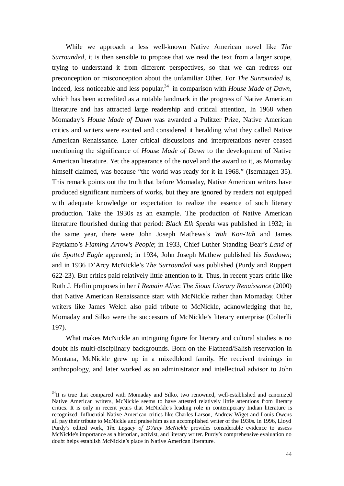While we approach a less well-known Native American novel like *The Surrounded*, it is then sensible to propose that we read the text from a larger scope, trying to understand it from different perspectives, so that we can redress our preconception or misconception about the unfamiliar Other. For *The Surrounded* is, indeed, less noticeable and less popular,<sup>34</sup> in comparison with *House Made of Dawn*, which has been accredited as a notable landmark in the progress of Native American literature and has attracted large readership and critical attention, In 1968 when Momaday's *House Made of Dawn* was awarded a Pulitzer Prize, Native American critics and writers were excited and considered it heralding what they called Native American Renaissance. Later critical discussions and interpretations never ceased mentioning the significance of *House Made of Dawn* to the development of Native American literature. Yet the appearance of the novel and the award to it, as Momaday himself claimed, was because "the world was ready for it in 1968." (Isernhagen 35). This remark points out the truth that before Momaday, Native American writers have produced significant numbers of works, but they are ignored by readers not equipped with adequate knowledge or expectation to realize the essence of such literary production. Take the 1930s as an example. The production of Native American literature flourished during that period: *Black Elk Speaks* was published in 1932; in the same year, there were John Joseph Mathews's *Wah Kon-Tah* and James Paytiamo's *Flaming Arrow's People*; in 1933, Chief Luther Standing Bear's *Land of the Spotted Eagle* appeared; in 1934, John Joseph Mathew published his *Sundown*; and in 1936 D'Arcy McNickle's *The Surrounded* was published (Purdy and Ruppert 622-23). But critics paid relatively little attention to it. Thus, in recent years critic like Ruth J. Heflin proposes in her *I Remain Alive*: *The Sioux Literary Renaissance* (2000) that Native American Renaissance start with McNickle rather than Momaday. Other writers like James Welch also paid tribute to McNickle, acknowledging that he, Momaday and Silko were the successors of McNickle's literary enterprise (Colterlli 197).

What makes McNickle an intriguing figure for literary and cultural studies is no doubt his multi-disciplinary backgrounds. Born on the Flathead/Salish reservation in Montana, McNickle grew up in a mixedblood family. He received trainings in anthropology, and later worked as an administrator and intellectual advisor to John

 $34$ It is true that compared with Momaday and Silko, two renowned, well-established and canonized Native American writers, McNickle seems to have attested relatively little attentions from literary critics. It is only in recent years that McNickle's leading role in contemporary Indian literature is recognized. Influential Native American critics like Charles Larson, Andrew Wiget and Louis Owens all pay their tribute to McNickle and praise him as an accomplished writer of the 1930s. In 1996, Lloyd Purdy's edited work, *The Legacy of D'Arcy McNickle* provides considerable evidence to assess McNickle's importance as a historian, activist, and literary writer. Purdy's comprehensive evaluation no doubt helps establish McNickle's place in Native American literature.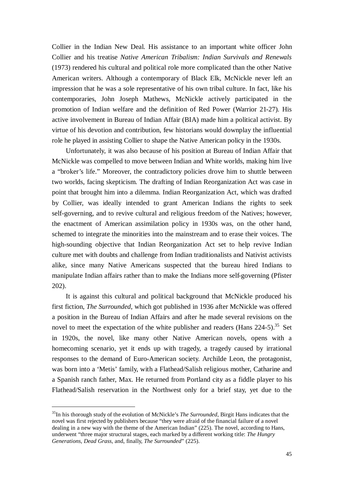Collier in the Indian New Deal. His assistance to an important white officer John Collier and his treatise *Native American Tribalism: Indian Survivals and Renewals*  (1973) rendered his cultural and political role more complicated than the other Native American writers. Although a contemporary of Black Elk, McNickle never left an impression that he was a sole representative of his own tribal culture. In fact, like his contemporaries, John Joseph Mathews, McNickle actively participated in the promotion of Indian welfare and the definition of Red Power (Warrior 21-27). His active involvement in Bureau of Indian Affair (BIA) made him a political activist. By virtue of his devotion and contribution, few historians would downplay the influential role he played in assisting Collier to shape the Native American policy in the 1930s.

Unfortunately, it was also because of his position at Bureau of Indian Affair that McNickle was compelled to move between Indian and White worlds, making him live a "broker's life." Moreover, the contradictory policies drove him to shuttle between two worlds, facing skepticism. The drafting of Indian Reorganization Act was case in point that brought him into a dilemma. Indian Reorganization Act, which was drafted by Collier, was ideally intended to grant American Indians the rights to seek self-governing, and to revive cultural and religious freedom of the Natives; however, the enactment of American assimilation policy in 1930s was, on the other hand, schemed to integrate the minorities into the mainstream and to erase their voices. The high-sounding objective that Indian Reorganization Act set to help revive Indian culture met with doubts and challenge from Indian traditionalists and Nativist activists alike, since many Native Americans suspected that the bureau hired Indians to manipulate Indian affairs rather than to make the Indians more self-governing (Pfister 202).

It is against this cultural and political background that McNickle produced his first fiction, *The Surrounded*, which got published in 1936 after McNickle was offered a position in the Bureau of Indian Affairs and after he made several revisions on the novel to meet the expectation of the white publisher and readers (Hans  $224-5$ ).<sup>35</sup> Set in 1920s, the novel, like many other Native American novels, opens with a homecoming scenario, yet it ends up with tragedy, a tragedy caused by irrational responses to the demand of Euro-American society. Archilde Leon, the protagonist, was born into a 'Metis' family, with a Flathead/Salish religious mother, Catharine and a Spanish ranch father, Max. He returned from Portland city as a fiddle player to his Flathead/Salish reservation in the Northwest only for a brief stay, yet due to the

<sup>35</sup>In his thorough study of the evolution of McNickle's *The Surrounded*, Birgit Hans indicates that the novel was first rejected by publishers because "they were afraid of the financial failure of a novel dealing in a new way with the theme of the American Indian" (225). The novel, according to Hans, underwent "three major structural stages, each marked by a different working title: *The Hungry Generations, Dead Grass,* and, finally, *The Surrounded*" (225).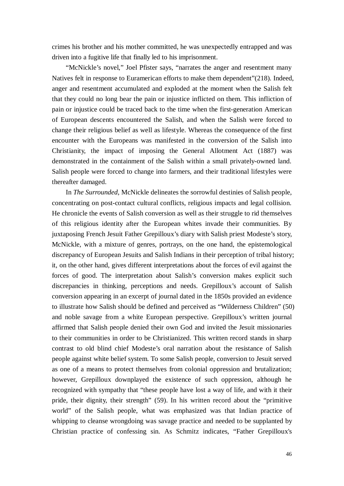crimes his brother and his mother committed, he was unexpectedly entrapped and was driven into a fugitive life that finally led to his imprisonment.

"McNickle's novel," Joel Pfister says, "narrates the anger and resentment many Natives felt in response to Euramerican efforts to make them dependent"(218). Indeed, anger and resentment accumulated and exploded at the moment when the Salish felt that they could no long bear the pain or injustice inflicted on them. This infliction of pain or injustice could be traced back to the time when the first-generation American of European descents encountered the Salish, and when the Salish were forced to change their religious belief as well as lifestyle. Whereas the consequence of the first encounter with the Europeans was manifested in the conversion of the Salish into Christianity, the impact of imposing the General Allotment Act (1887) was demonstrated in the containment of the Salish within a small privately-owned land. Salish people were forced to change into farmers, and their traditional lifestyles were thereafter damaged.

In *The Surrounded*, McNickle delineates the sorrowful destinies of Salish people, concentrating on post-contact cultural conflicts, religious impacts and legal collision. He chronicle the events of Salish conversion as well as their struggle to rid themselves of this religious identity after the European whites invade their communities. By juxtaposing French Jesuit Father Grepilloux's diary with Salish priest Modeste's story, McNickle, with a mixture of genres, portrays, on the one hand, the epistemological discrepancy of European Jesuits and Salish Indians in their perception of tribal history; it, on the other hand, gives different interpretations about the forces of evil against the forces of good. The interpretation about Salish's conversion makes explicit such discrepancies in thinking, perceptions and needs. Grepilloux's account of Salish conversion appearing in an excerpt of journal dated in the 1850s provided an evidence to illustrate how Salish should be defined and perceived as "Wilderness Children" (50) and noble savage from a white European perspective. Grepilloux's written journal affirmed that Salish people denied their own God and invited the Jesuit missionaries to their communities in order to be Christianized. This written record stands in sharp contrast to old blind chief Modeste's oral narration about the resistance of Salish people against white belief system. To some Salish people, conversion to Jesuit served as one of a means to protect themselves from colonial oppression and brutalization; however, Grepilloux downplayed the existence of such oppression, although he recognized with sympathy that "these people have lost a way of life, and with it their pride, their dignity, their strength" (59). In his written record about the "primitive world" of the Salish people, what was emphasized was that Indian practice of whipping to cleanse wrongdoing was savage practice and needed to be supplanted by Christian practice of confessing sin. As Schmitz indicates, "Father Grepilloux's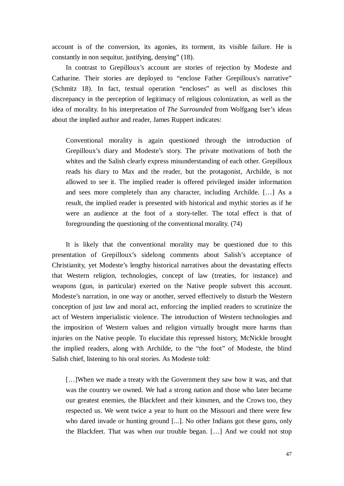account is of the conversion, its agonies, its torment, its visible failure. He is constantly in non sequitur, justifying, denying" (18).

In contrast to Grepilloux's account are stories of rejection by Modeste and Catharine. Their stories are deployed to "enclose Father Grepilloux's narrative" (Schmitz 18). In fact, textual operation "encloses" as well as discloses this discrepancy in the perception of legitimacy of religious colonization, as well as the idea of morality. In his interpretation of *The Surrounded* from Wolfgang Iser's ideas about the implied author and reader, James Ruppert indicates:

Conventional morality is again questioned through the introduction of Grepilloux's diary and Modeste's story. The private motivations of both the whites and the Salish clearly express misunderstanding of each other. Grepilloux reads his diary to Max and the reader, but the protagonist, Archilde, is not allowed to see it. The implied reader is offered privileged insider information and sees more completely than any character, including Archilde. [… ] As a result, the implied reader is presented with historical and mythic stories as if he were an audience at the foot of a story-teller. The total effect is that of foregrounding the questioning of the conventional morality. (74)

It is likely that the conventional morality may be questioned due to this presentation of Grepilloux's sidelong comments about Salish's acceptance of Christianity, yet Modeste's lengthy historical narratives about the devastating effects that Western religion, technologies, concept of law (treaties, for instance) and weapons (gun, in particular) exerted on the Native people subvert this account. Modeste's narration, in one way or another, served effectively to disturb the Western conception of just law and moral act, enforcing the implied readers to scrutinize the act of Western imperialistic violence. The introduction of Western technologies and the imposition of Western values and religion virtually brought more harms than injuries on the Native people. To elucidate this repressed history, McNickle brought the implied readers, along with Archilde, to the "the foot" of Modeste, the blind Salish chief, listening to his oral stories. As Modeste told:

[...] When we made a treaty with the Government they saw how it was, and that was the country we owned. We had a strong nation and those who later became our greatest enemies, the Blackfeet and their kinsmen, and the Crows too, they respected us. We went twice a year to hunt on the Missouri and there were few who dared invade or hunting ground [...]. No other Indians got these guns, only the Blackfeet. That was when our trouble began. [… ] And we could not stop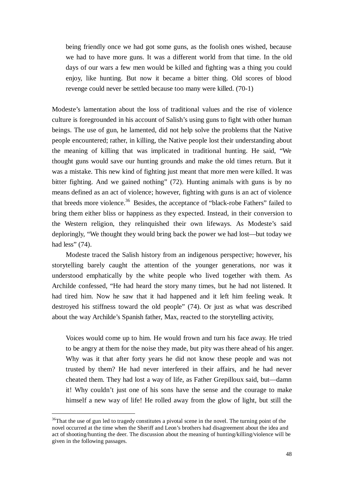being friendly once we had got some guns, as the foolish ones wished, because we had to have more guns. It was a different world from that time. In the old days of our wars a few men would be killed and fighting was a thing you could enjoy, like hunting. But now it became a bitter thing. Old scores of blood revenge could never be settled because too many were killed. (70-1)

Modeste's lamentation about the loss of traditional values and the rise of violence culture is foregrounded in his account of Salish's using guns to fight with other human beings. The use of gun, he lamented, did not help solve the problems that the Native people encountered; rather, in killing, the Native people lost their understanding about the meaning of killing that was implicated in traditional hunting. He said, "We thought guns would save our hunting grounds and make the old times return. But it was a mistake. This new kind of fighting just meant that more men were killed. It was bitter fighting. And we gained nothing" (72). Hunting animals with guns is by no means defined as an act of violence; however, fighting with guns is an act of violence that breeds more violence.<sup>36</sup> Besides, the acceptance of "black-robe Fathers" failed to bring them either bliss or happiness as they expected. Instead, in their conversion to the Western religion, they relinquished their own lifeways. As Modeste's said deploringly, "We thought they would bring back the power we had lost— but today we had less" (74).

Modeste traced the Salish history from an indigenous perspective; however, his storytelling barely caught the attention of the younger generations, nor was it understood emphatically by the white people who lived together with them. As Archilde confessed, "He had heard the story many times, but he had not listened. It had tired him. Now he saw that it had happened and it left him feeling weak. It destroyed his stiffness toward the old people" (74). Or just as what was described about the way Archilde's Spanish father, Max, reacted to the storytelling activity,

Voices would come up to him. He would frown and turn his face away. He tried to be angry at them for the noise they made, but pity was there ahead of his anger. Why was it that after forty years he did not know these people and was not trusted by them? He had never interfered in their affairs, and he had never cheated them. They had lost a way of life, as Father Grepilloux said, but— damn it! Why couldn't just one of his sons have the sense and the courage to make himself a new way of life! He rolled away from the glow of light, but still the

<sup>&</sup>lt;sup>36</sup>That the use of gun led to tragedy constitutes a pivotal scene in the novel. The turning point of the novel occurred at the time when the Sheriff and Leon's brothers had disagreement about the idea and act of shooting/hunting the deer. The discussion about the meaning of hunting/killing/violence will be given in the following passages.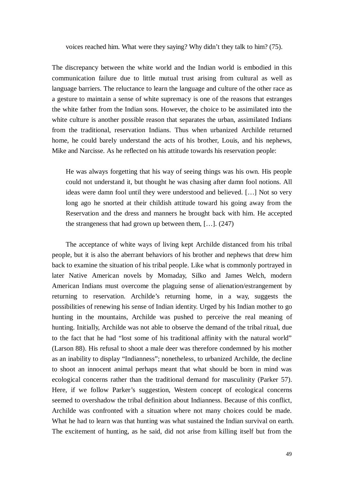voices reached him. What were they saying? Why didn't they talk to him? (75).

The discrepancy between the white world and the Indian world is embodied in this communication failure due to little mutual trust arising from cultural as well as language barriers. The reluctance to learn the language and culture of the other race as a gesture to maintain a sense of white supremacy is one of the reasons that estranges the white father from the Indian sons. However, the choice to be assimilated into the white culture is another possible reason that separates the urban, assimilated Indians from the traditional, reservation Indians. Thus when urbanized Archilde returned home, he could barely understand the acts of his brother, Louis, and his nephews, Mike and Narcisse. As he reflected on his attitude towards his reservation people:

He was always forgetting that his way of seeing things was his own. His people could not understand it, but thought he was chasing after damn fool notions. All ideas were damn fool until they were understood and believed. [… ] Not so very long ago he snorted at their childish attitude toward his going away from the Reservation and the dress and manners he brought back with him. He accepted the strangeness that had grown up between them, [… ]. (247)

The acceptance of white ways of living kept Archilde distanced from his tribal people, but it is also the aberrant behaviors of his brother and nephews that drew him back to examine the situation of his tribal people. Like what is commonly portrayed in later Native American novels by Momaday, Silko and James Welch, modern American Indians must overcome the plaguing sense of alienation/estrangement by returning to reservation. Archilde's returning home, in a way, suggests the possibilities of renewing his sense of Indian identity. Urged by his Indian mother to go hunting in the mountains, Archilde was pushed to perceive the real meaning of hunting. Initially, Archilde was not able to observe the demand of the tribal ritual, due to the fact that he had "lost some of his traditional affinity with the natural world" (Larson 88). His refusal to shoot a male deer was therefore condemned by his mother as an inability to display "Indianness"; nonetheless, to urbanized Archilde, the decline to shoot an innocent animal perhaps meant that what should be born in mind was ecological concerns rather than the traditional demand for masculinity (Parker 57). Here, if we follow Parker's suggestion, Western concept of ecological concerns seemed to overshadow the tribal definition about Indianness. Because of this conflict, Archilde was confronted with a situation where not many choices could be made. What he had to learn was that hunting was what sustained the Indian survival on earth. The excitement of hunting, as he said, did not arise from killing itself but from the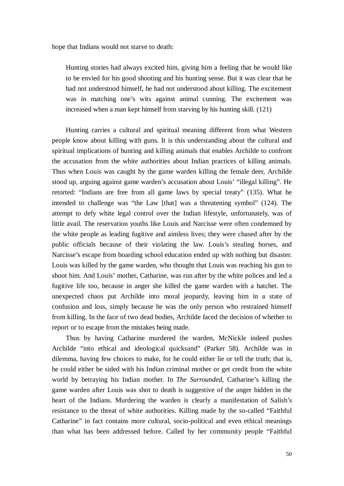hope that Indians would not starve to death:

Hunting stories had always excited him, giving him a feeling that he would like to be envied for his good shooting and his hunting sense. But it was clear that he had not understood himself, he had not understood about killing. The excitement was in matching one's wits against animal cunning. The excitement was increased when a man kept himself from starving by his hunting skill. (121)

Hunting carries a cultural and spiritual meaning different from what Western people know about killing with guns. It is this understanding about the cultural and spiritual implications of hunting and killing animals that enables Archilde to confront the accusation from the white authorities about Indian practices of killing animals. Thus when Louis was caught by the game warden killing the female deer, Archilde stood up, arguing against game warden's accusation about Louis' "illegal killing". He retorted: "Indians are free from all game laws by special treaty" (135). What he intended to challenge was "the Law [that] was a threatening symbol" (124). The attempt to defy white legal control over the Indian lifestyle, unfortunately, was of little avail. The reservation youths like Louis and Narcisse were often condemned by the white people as leading fugitive and aimless lives; they were chased after by the public officials because of their violating the law. Louis's stealing horses, and Narcisse's escape from boarding school education ended up with nothing but disaster. Louis was killed by the game warden, who thought that Louis was reaching his gun to shoot him. And Louis' mother, Catharine, was run after by the white polices and led a fugitive life too, because in anger she killed the game warden with a hatchet. The unexpected chaos put Archilde into moral jeopardy, leaving him in a state of confusion and loss, simply because he was the only person who restrained himself from killing. In the face of two dead bodies, Archilde faced the decision of whether to report or to escape from the mistakes being made.

Thus by having Catharine murdered the warden, McNickle indeed pushes Archilde "into ethical and ideological quicksand" (Parker 58). Archilde was in dilemma, having few choices to make, for he could either lie or tell the truth; that is, he could either be sided with his Indian criminal mother or get credit from the white world by betraying his Indian mother. In *The Surrounded*, Catharine's killing the game warden after Louis was shot to death is suggestive of the anger hidden in the heart of the Indians. Murdering the warden is clearly a manifestation of Salish's resistance to the threat of white authorities. Killing made by the so-called "Faithful Catharine" in fact contains more cultural, socio-political and even ethical meanings than what has been addressed before. Called by her community people "Faithful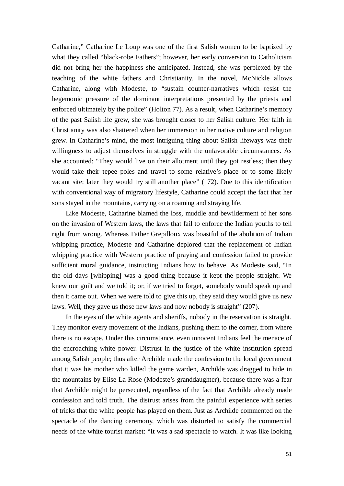Catharine," Catharine Le Loup was one of the first Salish women to be baptized by what they called "black-robe Fathers"; however, her early conversion to Catholicism did not bring her the happiness she anticipated. Instead, she was perplexed by the teaching of the white fathers and Christianity. In the novel, McNickle allows Catharine, along with Modeste, to "sustain counter-narratives which resist the hegemonic pressure of the dominant interpretations presented by the priests and enforced ultimately by the police" (Holton 77). As a result, when Catharine's memory of the past Salish life grew, she was brought closer to her Salish culture. Her faith in Christianity was also shattered when her immersion in her native culture and religion grew. In Catharine's mind, the most intriguing thing about Salish lifeways was their willingness to adjust themselves in struggle with the unfavorable circumstances. As she accounted: "They would live on their allotment until they got restless; then they would take their tepee poles and travel to some relative's place or to some likely vacant site; later they would try still another place" (172). Due to this identification with conventional way of migratory lifestyle, Catharine could accept the fact that her sons stayed in the mountains, carrying on a roaming and straying life.

Like Modeste, Catharine blamed the loss, muddle and bewilderment of her sons on the invasion of Western laws, the laws that fail to enforce the Indian youths to tell right from wrong. Whereas Father Grepilloux was boastful of the abolition of Indian whipping practice, Modeste and Catharine deplored that the replacement of Indian whipping practice with Western practice of praying and confession failed to provide sufficient moral guidance, instructing Indians how to behave. As Modeste said, "In the old days [whipping] was a good thing because it kept the people straight. We knew our guilt and we told it; or, if we tried to forget, somebody would speak up and then it came out. When we were told to give this up, they said they would give us new laws. Well, they gave us those new laws and now nobody is straight" (207).

In the eyes of the white agents and sheriffs, nobody in the reservation is straight. They monitor every movement of the Indians, pushing them to the corner, from where there is no escape. Under this circumstance, even innocent Indians feel the menace of the encroaching white power. Distrust in the justice of the white institution spread among Salish people; thus after Archilde made the confession to the local government that it was his mother who killed the game warden, Archilde was dragged to hide in the mountains by Elise La Rose (Modeste's granddaughter), because there was a fear that Archilde might be persecuted, regardless of the fact that Archilde already made confession and told truth. The distrust arises from the painful experience with series of tricks that the white people has played on them. Just as Archilde commented on the spectacle of the dancing ceremony, which was distorted to satisfy the commercial needs of the white tourist market: "It was a sad spectacle to watch. It was like looking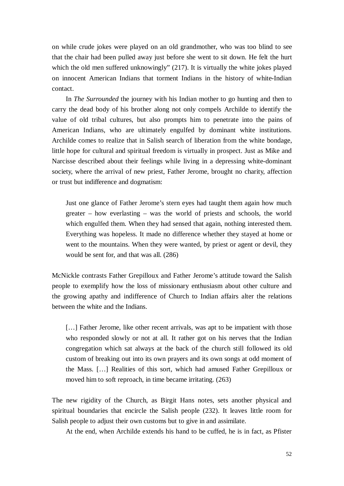on while crude jokes were played on an old grandmother, who was too blind to see that the chair had been pulled away just before she went to sit down. He felt the hurt which the old men suffered unknowingly" (217). It is virtually the white jokes played on innocent American Indians that torment Indians in the history of white-Indian contact.

In *The Surrounded* the journey with his Indian mother to go hunting and then to carry the dead body of his brother along not only compels Archilde to identify the value of old tribal cultures, but also prompts him to penetrate into the pains of American Indians, who are ultimately engulfed by dominant white institutions. Archilde comes to realize that in Salish search of liberation from the white bondage, little hope for cultural and spiritual freedom is virtually in prospect. Just as Mike and Narcisse described about their feelings while living in a depressing white-dominant society, where the arrival of new priest, Father Jerome, brought no charity, affection or trust but indifference and dogmatism:

Just one glance of Father Jerome's stern eyes had taught them again how much greater – how everlasting – was the world of priests and schools, the world which engulfed them. When they had sensed that again, nothing interested them. Everything was hopeless. It made no difference whether they stayed at home or went to the mountains. When they were wanted, by priest or agent or devil, they would be sent for, and that was all. (286)

McNickle contrasts Father Grepilloux and Father Jerome's attitude toward the Salish people to exemplify how the loss of missionary enthusiasm about other culture and the growing apathy and indifference of Church to Indian affairs alter the relations between the white and the Indians.

[...] Father Jerome, like other recent arrivals, was apt to be impatient with those who responded slowly or not at all. It rather got on his nerves that the Indian congregation which sat always at the back of the church still followed its old custom of breaking out into its own prayers and its own songs at odd moment of the Mass. [… ] Realities of this sort, which had amused Father Grepilloux or moved him to soft reproach, in time became irritating. (263)

The new rigidity of the Church, as Birgit Hans notes, sets another physical and spiritual boundaries that encircle the Salish people (232). It leaves little room for Salish people to adjust their own customs but to give in and assimilate.

At the end, when Archilde extends his hand to be cuffed, he is in fact, as Pfister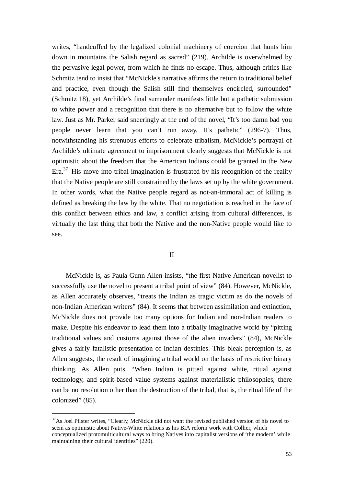writes, "handcuffed by the legalized colonial machinery of coercion that hunts him down in mountains the Salish regard as sacred" (219). Archilde is overwhelmed by the pervasive legal power, from which he finds no escape. Thus, although critics like Schmitz tend to insist that "McNickle's narrative affirms the return to traditional belief and practice, even though the Salish still find themselves encircled, surrounded" (Schmitz 18), yet Archilde's final surrender manifests little but a pathetic submission to white power and a recognition that there is no alternative but to follow the white law. Just as Mr. Parker said sneeringly at the end of the novel, "It's too damn bad you people never learn that you can't run away. It's pathetic" (296-7). Thus, notwithstanding his strenuous efforts to celebrate tribalism, McNickle's portrayal of Archilde's ultimate agreement to imprisonment clearly suggests that McNickle is not optimistic about the freedom that the American Indians could be granted in the New Era. $37$  His move into tribal imagination is frustrated by his recognition of the reality that the Native people are still constrained by the laws set up by the white government. In other words, what the Native people regard as not-an-immoral act of killing is defined as breaking the law by the white. That no negotiation is reached in the face of this conflict between ethics and law, a conflict arising from cultural differences, is virtually the last thing that both the Native and the non-Native people would like to see.

#### II

McNickle is, as Paula Gunn Allen insists, "the first Native American novelist to successfully use the novel to present a tribal point of view" (84). However, McNickle, as Allen accurately observes, "treats the Indian as tragic victim as do the novels of non-Indian American writers" (84). It seems that between assimilation and extinction, McNickle does not provide too many options for Indian and non-Indian readers to make. Despite his endeavor to lead them into a tribally imaginative world by "pitting traditional values and customs against those of the alien invaders" (84), McNickle gives a fairly fatalistic presentation of Indian destinies. This bleak perception is, as Allen suggests, the result of imagining a tribal world on the basis of restrictive binary thinking. As Allen puts, "When Indian is pitted against white, ritual against technology, and spirit-based value systems against materialistic philosophies, there can be no resolution other than the destruction of the tribal, that is, the ritual life of the colonized" (85).

<sup>&</sup>lt;sup>37</sup>As Joel Pfister writes, "Clearly, McNickle did not want the revised published version of his novel to seem as optimistic about Native-White relations as his BIA reform work with Collier, which conceptualized protomulticultural ways to bring Natives into capitalist versions of 'the modern' while maintaining their cultural identities" (220).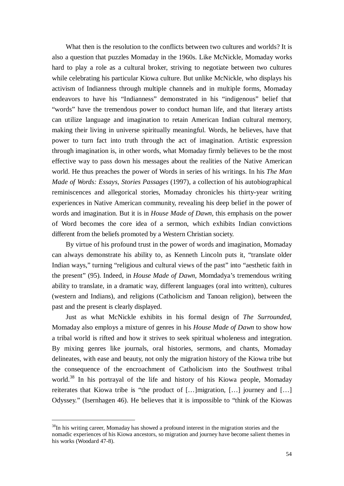What then is the resolution to the conflicts between two cultures and worlds? It is also a question that puzzles Momaday in the 1960s. Like McNickle, Momaday works hard to play a role as a cultural broker, striving to negotiate between two cultures while celebrating his particular Kiowa culture. But unlike McNickle, who displays his activism of Indianness through multiple channels and in multiple forms, Momaday endeavors to have his "Indianness" demonstrated in his "indigenous" belief that "words" have the tremendous power to conduct human life, and that literary artists can utilize language and imagination to retain American Indian cultural memory, making their living in universe spiritually meaningful. Words, he believes, have that power to turn fact into truth through the act of imagination. Artistic expression through imagination is, in other words, what Momaday firmly believes to be the most effective way to pass down his messages about the realities of the Native American world. He thus preaches the power of Words in series of his writings. In his *The Man Made of Words: Essays, Stories Passages* (1997), a collection of his autobiographical reminiscences and allegorical stories, Momaday chronicles his thirty-year writing experiences in Native American community, revealing his deep belief in the power of words and imagination. But it is in *House Made of Dawn,* this emphasis on the power of Word becomes the core idea of a sermon, which exhibits Indian convictions different from the beliefs promoted by a Western Christian society.

By virtue of his profound trust in the power of words and imagination, Momaday can always demonstrate his ability to, as Kenneth Lincoln puts it, "translate older Indian ways," turning "religious and cultural views of the past" into "aesthetic faith in the present" (95). Indeed, in *House Made of Dawn*, Momdadya's tremendous writing ability to translate, in a dramatic way, different languages (oral into written), cultures (western and Indians), and religions (Catholicism and Tanoan religion), between the past and the present is clearly displayed.

Just as what McNickle exhibits in his formal design of *The Surrounded*, Momaday also employs a mixture of genres in his *House Made of Dawn* to show how a tribal world is rifted and how it strives to seek spiritual wholeness and integration. By mixing genres like journals, oral histories, sermons, and chants, Momaday delineates, with ease and beauty, not only the migration history of the Kiowa tribe but the consequence of the encroachment of Catholicism into the Southwest tribal world.<sup>38</sup> In his portrayal of the life and history of his Kiowa people, Momaday reiterates that Kiowa tribe is "the product of [...] migration, [...] journey and [...] Odyssey." (Isernhagen 46). He believes that it is impossible to "think of the Kiowas

<sup>&</sup>lt;sup>38</sup>In his writing career, Momaday has showed a profound interest in the migration stories and the nomadic experiences of his Kiowa ancestors, so migration and journey have become salient themes in his works (Woodard 47-8).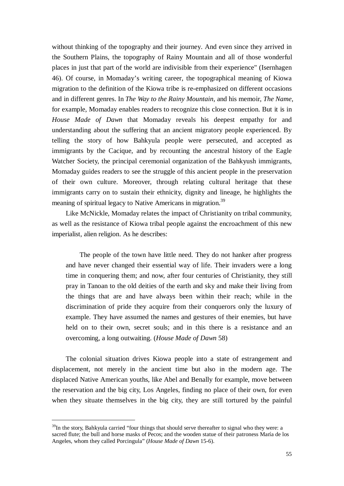without thinking of the topography and their journey. And even since they arrived in the Southern Plains, the topography of Rainy Mountain and all of those wonderful places in just that part of the world are indivisible from their experience" (Isernhagen 46). Of course, in Momaday's writing career, the topographical meaning of Kiowa migration to the definition of the Kiowa tribe is re-emphasized on different occasions and in different genres. In *The Way to the Rainy Mountain*, and his memoir, *The Name,* for example, Momaday enables readers to recognize this close connection. But it is in *House Made of Dawn* that Momaday reveals his deepest empathy for and understanding about the suffering that an ancient migratory people experienced. By telling the story of how Bahkyula people were persecuted, and accepted as immigrants by the Cacique, and by recounting the ancestral history of the Eagle Watcher Society, the principal ceremonial organization of the Bahkyush immigrants, Momaday guides readers to see the struggle of this ancient people in the preservation of their own culture. Moreover, through relating cultural heritage that these immigrants carry on to sustain their ethnicity, dignity and lineage, he highlights the meaning of spiritual legacy to Native Americans in migration.<sup>39</sup>

Like McNickle, Momaday relates the impact of Christianity on tribal community, as well as the resistance of Kiowa tribal people against the encroachment of this new imperialist, alien religion. As he describes:

The people of the town have little need. They do not hanker after progress and have never changed their essential way of life. Their invaders were a long time in conquering them; and now, after four centuries of Christianity, they still pray in Tanoan to the old deities of the earth and sky and make their living from the things that are and have always been within their reach; while in the discrimination of pride they acquire from their conquerors only the luxury of example. They have assumed the names and gestures of their enemies, but have held on to their own, secret souls; and in this there is a resistance and an overcoming, a long outwaiting. (*House Made of Dawn* 58)

The colonial situation drives Kiowa people into a state of estrangement and displacement, not merely in the ancient time but also in the modern age. The displaced Native American youths, like Abel and Benally for example, move between the reservation and the big city, Los Angeles, finding no place of their own, for even when they situate themselves in the big city, they are still tortured by the painful

 $39$ In the story, Bahkyula carried "four things that should serve thereafter to signal who they were: a sacred flute; the bull and horse masks of Pecos; and the wooden statue of their patroness María de los Angeles, whom they called Porcingula" (*House Made of Dawn* 15-6).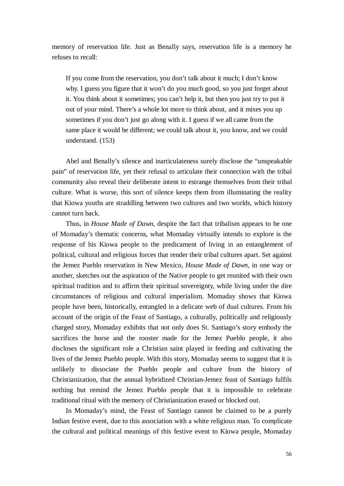memory of reservation life. Just as Benally says, reservation life is a memory he refuses to recall:

If you come from the reservation, you don't talk about it much; I don't know why. I guess you figure that it won't do you much good, so you just forget about it. You think about it sometimes; you can't help it, but then you just try to put it out of your mind. There's a whole lot more to think about, and it mixes you up sometimes if you don't just go along with it. I guess if we all came from the same place it would be different; we could talk about it, you know, and we could understand. (153)

Abel and Benally's silence and inarticulateness surely disclose the "unspeakable pain" of reservation life, yet their refusal to articulate their connection with the tribal community also reveal their deliberate intent to estrange themselves from their tribal culture. What is worse, this sort of silence keeps them from illuminating the reality that Kiowa youths are straddling between two cultures and two worlds, which history cannot turn back.

Thus, in *House Made of Dawn*, despite the fact that tribalism appears to be one of Momaday's thematic concerns, what Momaday virtually intends to explore is the response of his Kiowa people to the predicament of living in an entanglement of political, cultural and religious forces that render their tribal cultures apart. Set against the Jemez Pueblo reservation in New Mexico, *House Made of Dawn,* in one way or another, sketches out the aspiration of the Native people to get reunited with their own spiritual tradition and to affirm their spiritual sovereignty, while living under the dire circumstances of religious and cultural imperialism. Momaday shows that Kiowa people have been, historically, entangled in a delicate web of dual cultures. From his account of the origin of the Feast of Santiago, a culturally, politically and religiously charged story, Momaday exhibits that not only does St. Santiago's story embody the sacrifices the horse and the rooster made for the Jemez Pueblo people, it also discloses the significant role a Christian saint played in feeding and cultivating the lives of the Jemez Pueblo people. With this story, Momaday seems to suggest that it is unlikely to dissociate the Pueblo people and culture from the history of Christianization, that the annual hybridized Christian-Jemez feast of Santiago fulfils nothing but remind the Jemez Pueblo people that it is impossible to celebrate traditional ritual with the memory of Christianization erased or blocked out.

In Momaday's mind, the Feast of Santiago cannot be claimed to be a purely Indian festive event, due to this association with a white religious man. To complicate the cultural and political meanings of this festive event to Kiowa people, Momaday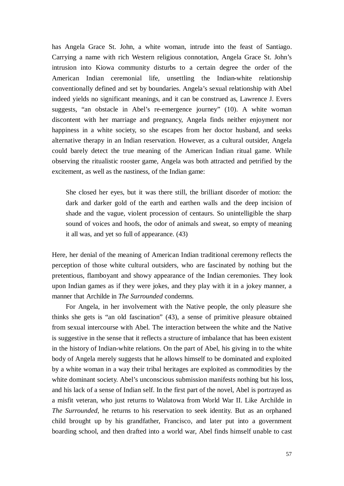has Angela Grace St. John, a white woman, intrude into the feast of Santiago. Carrying a name with rich Western religious connotation, Angela Grace St. John's intrusion into Kiowa community disturbs to a certain degree the order of the American Indian ceremonial life, unsettling the Indian-white relationship conventionally defined and set by boundaries. Angela's sexual relationship with Abel indeed yields no significant meanings, and it can be construed as, Lawrence J. Evers suggests, "an obstacle in Abel's re-emergence journey" (10). A white woman discontent with her marriage and pregnancy, Angela finds neither enjoyment nor happiness in a white society, so she escapes from her doctor husband, and seeks alternative therapy in an Indian reservation. However, as a cultural outsider, Angela could barely detect the true meaning of the American Indian ritual game. While observing the ritualistic rooster game, Angela was both attracted and petrified by the excitement, as well as the nastiness, of the Indian game:

She closed her eyes, but it was there still, the brilliant disorder of motion: the dark and darker gold of the earth and earthen walls and the deep incision of shade and the vague, violent procession of centaurs. So unintelligible the sharp sound of voices and hoofs, the odor of animals and sweat, so empty of meaning it all was, and yet so full of appearance. (43)

Here, her denial of the meaning of American Indian traditional ceremony reflects the perception of those white cultural outsiders, who are fascinated by nothing but the pretentious, flamboyant and showy appearance of the Indian ceremonies. They look upon Indian games as if they were jokes, and they play with it in a jokey manner, a manner that Archilde in *The Surrounded* condemns*.*

For Angela, in her involvement with the Native people, the only pleasure she thinks she gets is "an old fascination" (43), a sense of primitive pleasure obtained from sexual intercourse with Abel. The interaction between the white and the Native is suggestive in the sense that it reflects a structure of imbalance that has been existent in the history of Indian-white relations. On the part of Abel, his giving in to the white body of Angela merely suggests that he allows himself to be dominated and exploited by a white woman in a way their tribal heritages are exploited as commodities by the white dominant society. Abel's unconscious submission manifests nothing but his loss, and his lack of a sense of Indian self. In the first part of the novel, Abel is portrayed as a misfit veteran, who just returns to Walatowa from World War II. Like Archilde in *The Surrounded*, he returns to his reservation to seek identity. But as an orphaned child brought up by his grandfather, Francisco, and later put into a government boarding school, and then drafted into a world war, Abel finds himself unable to cast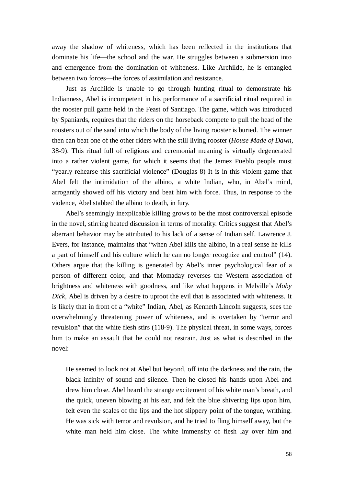away the shadow of whiteness, which has been reflected in the institutions that dominate his life— the school and the war. He struggles between a submersion into and emergence from the domination of whiteness. Like Archilde, he is entangled between two forces— the forces of assimilation and resistance.

Just as Archilde is unable to go through hunting ritual to demonstrate his Indianness, Abel is incompetent in his performance of a sacrificial ritual required in the rooster pull game held in the Feast of Santiago. The game, which was introduced by Spaniards, requires that the riders on the horseback compete to pull the head of the roosters out of the sand into which the body of the living rooster is buried. The winner then can beat one of the other riders with the still living rooster (*House Made of Dawn*, 38-9). This ritual full of religious and ceremonial meaning is virtually degenerated into a rather violent game, for which it seems that the Jemez Pueblo people must "yearly rehearse this sacrificial violence" (Douglas 8) It is in this violent game that Abel felt the intimidation of the albino, a white Indian, who, in Abel's mind, arrogantly showed off his victory and beat him with force. Thus, in response to the violence, Abel stabbed the albino to death, in fury.

Abel's seemingly inexplicable killing grows to be the most controversial episode in the novel, stirring heated discussion in terms of morality. Critics suggest that Abel's aberrant behavior may be attributed to his lack of a sense of Indian self. Lawrence J. Evers, for instance, maintains that "when Abel kills the albino, in a real sense he kills a part of himself and his culture which he can no longer recognize and control" (14). Others argue that the killing is generated by Abel's inner psychological fear of a person of different color, and that Momaday reverses the Western association of brightness and whiteness with goodness, and like what happens in Melville's *Moby Dick*, Abel is driven by a desire to uproot the evil that is associated with whiteness. It is likely that in front of a "white" Indian, Abel, as Kenneth Lincoln suggests, sees the overwhelmingly threatening power of whiteness, and is overtaken by "terror and revulsion" that the white flesh stirs (118-9). The physical threat, in some ways, forces him to make an assault that he could not restrain. Just as what is described in the novel:

He seemed to look not at Abel but beyond, off into the darkness and the rain, the black infinity of sound and silence. Then he closed his hands upon Abel and drew him close. Abel heard the strange excitement of his white man's breath, and the quick, uneven blowing at his ear, and felt the blue shivering lips upon him, felt even the scales of the lips and the hot slippery point of the tongue, writhing. He was sick with terror and revulsion, and he tried to fling himself away, but the white man held him close. The white immensity of flesh lay over him and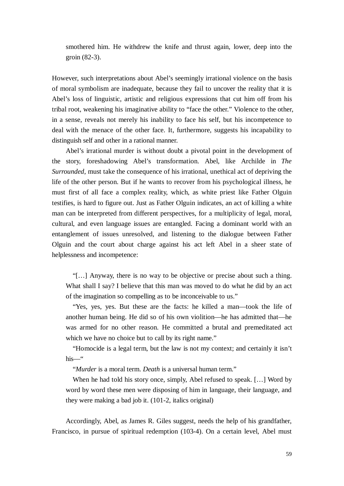smothered him. He withdrew the knife and thrust again, lower, deep into the groin (82-3).

However, such interpretations about Abel's seemingly irrational violence on the basis of moral symbolism are inadequate, because they fail to uncover the reality that it is Abel's loss of linguistic, artistic and religious expressions that cut him off from his tribal root, weakening his imaginative ability to "face the other." Violence to the other, in a sense, reveals not merely his inability to face his self, but his incompetence to deal with the menace of the other face. It, furthermore, suggests his incapability to distinguish self and other in a rational manner.

Abel's irrational murder is without doubt a pivotal point in the development of the story, foreshadowing Abel's transformation. Abel, like Archilde in *The Surrounded*, must take the consequence of his irrational, unethical act of depriving the life of the other person. But if he wants to recover from his psychological illness, he must first of all face a complex reality, which, as white priest like Father Olguin testifies, is hard to figure out. Just as Father Olguin indicates, an act of killing a white man can be interpreted from different perspectives, for a multiplicity of legal, moral, cultural, and even language issues are entangled. Facing a dominant world with an entanglement of issues unresolved, and listening to the dialogue between Father Olguin and the court about charge against his act left Abel in a sheer state of helplessness and incompetence:

"[… ] Anyway, there is no way to be objective or precise about such a thing. What shall I say? I believe that this man was moved to do what he did by an act of the imagination so compelling as to be inconceivable to us."

"Yes, yes, yes. But these are the facts: he killed a man— took the life of another human being. He did so of his own violition— he has admitted that— he was armed for no other reason. He committed a brutal and premeditated act which we have no choice but to call by its right name."

"Homocide is a legal term, but the law is not my context; and certainly it isn't his— "

"*Murder* is a moral term. *Death* is a universal human term."

When he had told his story once, simply, Abel refused to speak. [...] Word by word by word these men were disposing of him in language, their language, and they were making a bad job it. (101-2, italics original)

Accordingly, Abel, as James R. Giles suggest, needs the help of his grandfather, Francisco, in pursue of spiritual redemption (103-4). On a certain level, Abel must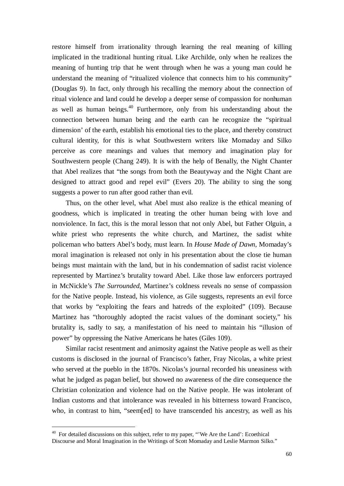restore himself from irrationality through learning the real meaning of killing implicated in the traditional hunting ritual. Like Archilde, only when he realizes the meaning of hunting trip that he went through when he was a young man could he understand the meaning of "ritualized violence that connects him to his community" (Douglas 9). In fact, only through his recalling the memory about the connection of ritual violence and land could he develop a deeper sense of compassion for nonhuman as well as human beings.<sup>40</sup> Furthermore, only from his understanding about the connection between human being and the earth can he recognize the "spiritual dimension' of the earth, establish his emotional ties to the place, and thereby construct cultural identity, for this is what Southwestern writers like Momaday and Silko perceive as core meanings and values that memory and imagination play for Southwestern people (Chang 249). It is with the help of Benally, the Night Chanter that Abel realizes that "the songs from both the Beautyway and the Night Chant are designed to attract good and repel evil" (Evers 20). The ability to sing the song suggests a power to run after good rather than evil.

Thus, on the other level, what Abel must also realize is the ethical meaning of goodness, which is implicated in treating the other human being with love and nonviolence. In fact, this is the moral lesson that not only Abel, but Father Olguin, a white priest who represents the white church, and Martinez, the sadist white policeman who batters Abel's body, must learn. In *House Made of Dawn,* Momaday's moral imagination is released not only in his presentation about the close tie human beings must maintain with the land, but in his condemnation of sadist racist violence represented by Martinez's brutality toward Abel. Like those law enforcers portrayed in McNickle's *The Surrounded*, Martinez's coldness reveals no sense of compassion for the Native people. Instead, his violence, as Gile suggests, represents an evil force that works by "exploiting the fears and hatreds of the exploited" (109). Because Martinez has "thoroughly adopted the racist values of the dominant society," his brutality is, sadly to say, a manifestation of his need to maintain his "illusion of power" by oppressing the Native Americans he hates (Giles 109).

Similar racist resentment and animosity against the Native people as well as their customs is disclosed in the journal of Francisco's father, Fray Nicolas, a white priest who served at the pueblo in the 1870s. Nicolas's journal recorded his uneasiness with what he judged as pagan belief, but showed no awareness of the dire consequence the Christian colonization and violence had on the Native people. He was intolerant of Indian customs and that intolerance was revealed in his bitterness toward Francisco, who, in contrast to him, "seem[ed] to have transcended his ancestry, as well as his

<sup>&</sup>lt;sup>40</sup> For detailed discussions on this subject, refer to my paper, "We Are the Land': Ecoethical Discourse and Moral Imagination in the Writings of Scott Momaday and Leslie Marmon Silko."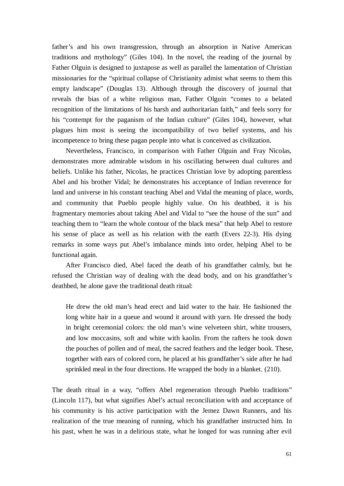father's and his own transgression, through an absorption in Native American traditions and mythology" (Giles 104). In the novel, the reading of the journal by Father Olguin is designed to juxtapose as well as parallel the lamentation of Christian missionaries for the "spiritual collapse of Christianity admist what seems to them this empty landscape" (Douglas 13). Although through the discovery of journal that reveals the bias of a white religious man, Father Olguin "comes to a belated recognition of the limitations of his harsh and authoritarian faith," and feels sorry for his "contempt for the paganism of the Indian culture" (Giles 104), however, what plagues him most is seeing the incompatibility of two belief systems, and his incompetence to bring these pagan people into what is conceived as civilization.

Nevertheless, Francisco, in comparison with Father Olguin and Fray Nicolas, demonstrates more admirable wisdom in his oscillating between dual cultures and beliefs. Unlike his father, Nicolas, he practices Christian love by adopting parentless Abel and his brother Vidal; he demonstrates his acceptance of Indian reverence for land and universe in his constant teaching Abel and Vidal the meaning of place, words, and community that Pueblo people highly value. On his deathbed, it is his fragmentary memories about taking Abel and Vidal to "see the house of the sun" and teaching them to "learn the whole contour of the black mesa" that help Abel to restore his sense of place as well as his relation with the earth (Evers 22-3). His dying remarks in some ways put Abel's imbalance minds into order, helping Abel to be functional again.

After Francisco died, Abel faced the death of his grandfather calmly, but he refused the Christian way of dealing with the dead body, and on his grandfather's deathbed, he alone gave the traditional death ritual:

He drew the old man's head erect and laid water to the hair. He fashioned the long white hair in a queue and wound it around with yarn. He dressed the body in bright ceremonial colors: the old man's wine velveteen shirt, white trousers, and low moccasins, soft and white with kaolin. From the rafters he took down the pouches of pollen and of meal, the sacred feathers and the ledger book. These, together with ears of colored corn, he placed at his grandfather's side after he had sprinkled meal in the four directions. He wrapped the body in a blanket. (210).

The death ritual in a way, "offers Abel regeneration through Pueblo traditions" (Lincoln 117), but what signifies Abel's actual reconciliation with and acceptance of his community is his active participation with the Jemez Dawn Runners, and his realization of the true meaning of running, which his grandfather instructed him. In his past, when he was in a delirious state, what he longed for was running after evil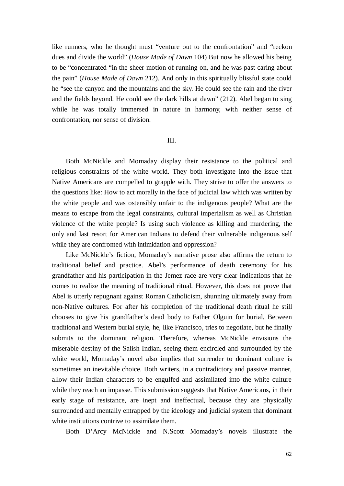like runners, who he thought must "venture out to the confrontation" and "reckon dues and divide the world" (*House Made of Dawn* 104) But now he allowed his being to be "concentrated "in the sheer motion of running on, and he was past caring about the pain" (*House Made of Dawn* 212). And only in this spiritually blissful state could he "see the canyon and the mountains and the sky. He could see the rain and the river and the fields beyond. He could see the dark hills at dawn" (212). Abel began to sing while he was totally immersed in nature in harmony, with neither sense of confrontation, nor sense of division.

### III.

Both McNickle and Momaday display their resistance to the political and religious constraints of the white world. They both investigate into the issue that Native Americans are compelled to grapple with. They strive to offer the answers to the questions like: How to act morally in the face of judicial law which was written by the white people and was ostensibly unfair to the indigenous people? What are the means to escape from the legal constraints, cultural imperialism as well as Christian violence of the white people? Is using such violence as killing and murdering, the only and last resort for American Indians to defend their vulnerable indigenous self while they are confronted with intimidation and oppression?

Like McNickle's fiction, Momaday's narrative prose also affirms the return to traditional belief and practice. Abel's performance of death ceremony for his grandfather and his participation in the Jemez race are very clear indications that he comes to realize the meaning of traditional ritual. However, this does not prove that Abel is utterly repugnant against Roman Catholicism, shunning ultimately away from non-Native cultures. For after his completion of the traditional death ritual he still chooses to give his grandfather's dead body to Father Olguin for burial. Between traditional and Western burial style, he, like Francisco, tries to negotiate, but he finally submits to the dominant religion. Therefore, whereas McNickle envisions the miserable destiny of the Salish Indian, seeing them encircled and surrounded by the white world, Momaday's novel also implies that surrender to dominant culture is sometimes an inevitable choice. Both writers, in a contradictory and passive manner, allow their Indian characters to be engulfed and assimilated into the white culture while they reach an impasse. This submission suggests that Native Americans, in their early stage of resistance, are inept and ineffectual, because they are physically surrounded and mentally entrapped by the ideology and judicial system that dominant white institutions contrive to assimilate them.

Both D'Arcy McNickle and N.Scott Momaday's novels illustrate the